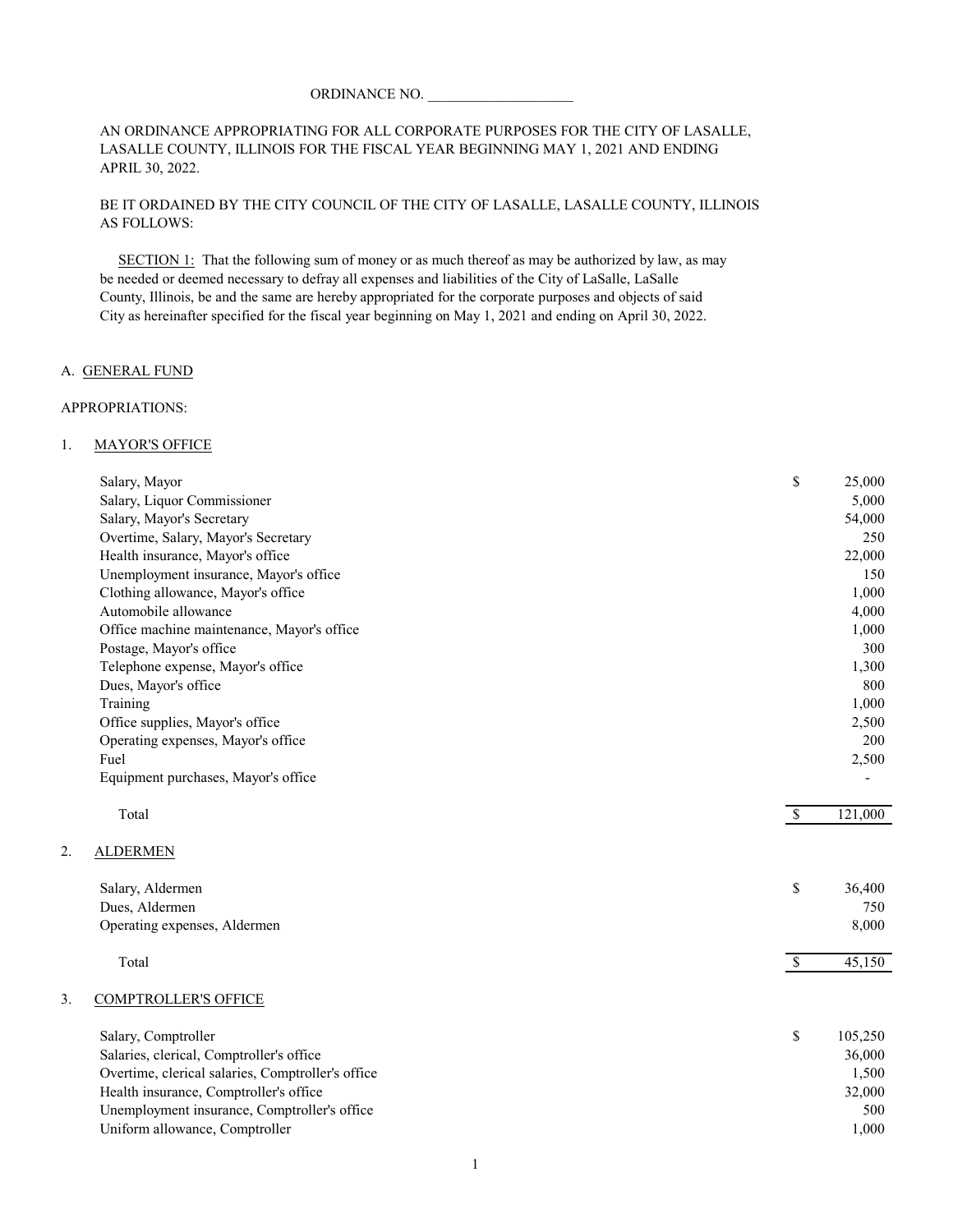## ORDINANCE NO.

#### AN ORDINANCE APPROPRIATING FOR ALL CORPORATE PURPOSES FOR THE CITY OF LASALLE, LASALLE COUNTY, ILLINOIS FOR THE FISCAL YEAR BEGINNING MAY 1, 2021 AND ENDING APRIL 30, 2022.

## BE IT ORDAINED BY THE CITY COUNCIL OF THE CITY OF LASALLE, LASALLE COUNTY, ILLINOIS AS FOLLOWS:

 SECTION 1: That the following sum of money or as much thereof as may be authorized by law, as may be needed or deemed necessary to defray all expenses and liabilities of the City of LaSalle, LaSalle County, Illinois, be and the same are hereby appropriated for the corporate purposes and objects of said City as hereinafter specified for the fiscal year beginning on May 1, 2021 and ending on April 30, 2022.

#### A. GENERAL FUND

#### APPROPRIATIONS:

#### 1. MAYOR'S OFFICE

| Salary, Mayor<br>Salary, Liquor Commissioner<br>Salary, Mayor's Secretary<br>Overtime, Salary, Mayor's Secretary<br>Health insurance, Mayor's office<br>Unemployment insurance, Mayor's office<br>Clothing allowance, Mayor's office<br>Automobile allowance<br>Office machine maintenance, Mayor's office<br>Postage, Mayor's office<br>Telephone expense, Mayor's office<br>Dues, Mayor's office<br>Training | \$<br>25,000<br>5,000<br>54,000<br>250<br>22,000<br>150<br>1,000<br>4,000<br>1,000<br>300<br>1,300<br>800<br>1,000<br>2,500 |
|----------------------------------------------------------------------------------------------------------------------------------------------------------------------------------------------------------------------------------------------------------------------------------------------------------------------------------------------------------------------------------------------------------------|-----------------------------------------------------------------------------------------------------------------------------|
| Office supplies, Mayor's office<br>Operating expenses, Mayor's office<br>Fuel<br>Equipment purchases, Mayor's office                                                                                                                                                                                                                                                                                           | 200<br>2,500                                                                                                                |
| Total                                                                                                                                                                                                                                                                                                                                                                                                          | $\mathcal{S}$<br>121,000                                                                                                    |
| 2.<br><b>ALDERMEN</b>                                                                                                                                                                                                                                                                                                                                                                                          |                                                                                                                             |
| Salary, Aldermen<br>Dues, Aldermen<br>Operating expenses, Aldermen<br>Total                                                                                                                                                                                                                                                                                                                                    | \$<br>36,400<br>750<br>8,000<br>$\overline{\mathcal{S}}$<br>45,150                                                          |
| 3.<br><b>COMPTROLLER'S OFFICE</b>                                                                                                                                                                                                                                                                                                                                                                              |                                                                                                                             |
| Salary, Comptroller<br>Salaries, clerical, Comptroller's office<br>Overtime, clerical salaries, Comptroller's office<br>Health insurance, Comptroller's office<br>Unemployment insurance, Comptroller's office<br>Uniform allowance, Comptroller                                                                                                                                                               | \$<br>105,250<br>36,000<br>1,500<br>32,000<br>500<br>1,000                                                                  |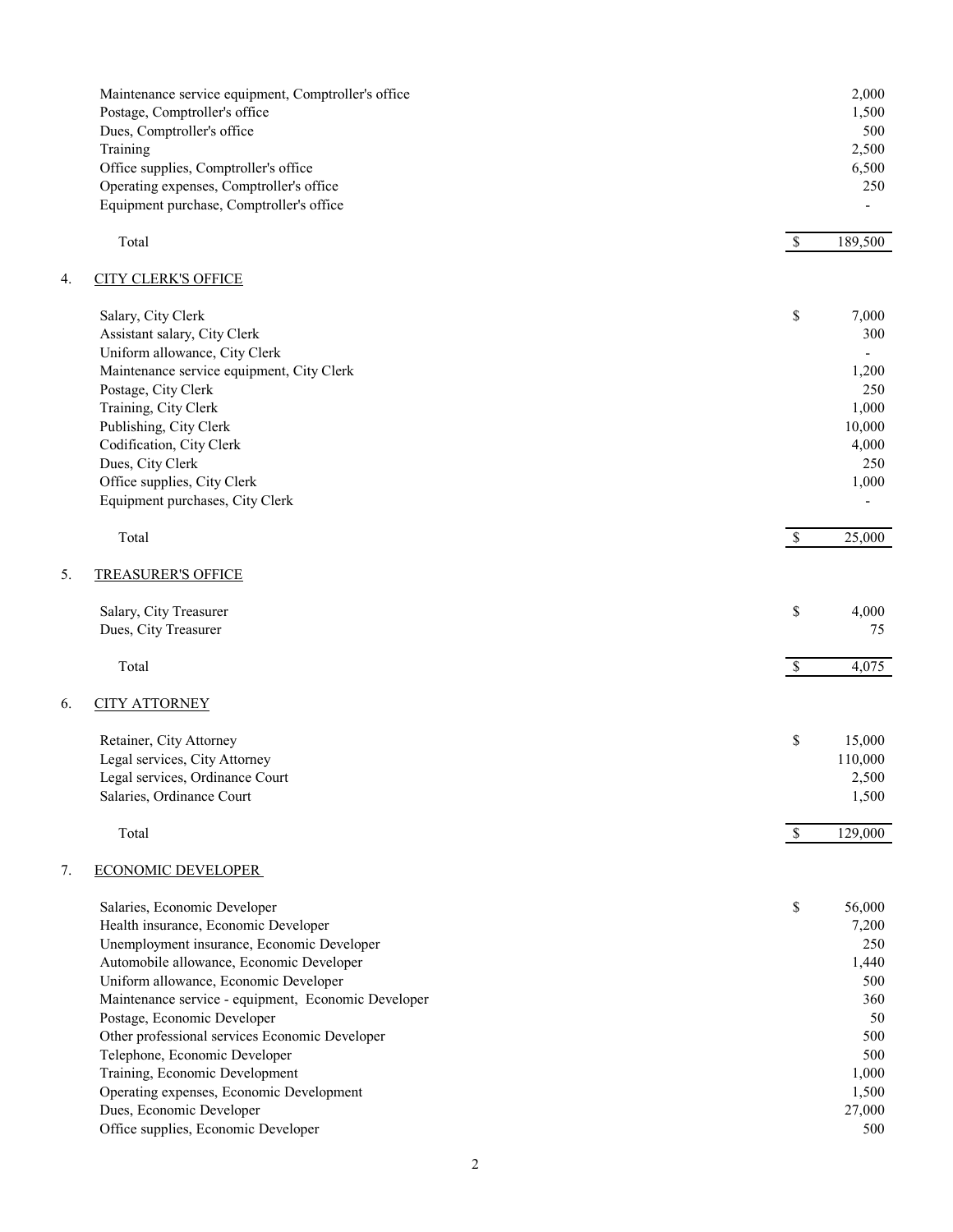|    | Maintenance service equipment, Comptroller's office<br>Postage, Comptroller's office<br>Dues, Comptroller's office<br>Training<br>Office supplies, Comptroller's office<br>Operating expenses, Comptroller's office<br>Equipment purchase, Comptroller's office                                                                                                                                                                                                |                           | 2,000<br>1,500<br>500<br>2,500<br>6,500<br>250                                      |
|----|----------------------------------------------------------------------------------------------------------------------------------------------------------------------------------------------------------------------------------------------------------------------------------------------------------------------------------------------------------------------------------------------------------------------------------------------------------------|---------------------------|-------------------------------------------------------------------------------------|
|    | Total                                                                                                                                                                                                                                                                                                                                                                                                                                                          | $\mathcal{S}$             | 189,500                                                                             |
| 4. | <b>CITY CLERK'S OFFICE</b>                                                                                                                                                                                                                                                                                                                                                                                                                                     |                           |                                                                                     |
|    | Salary, City Clerk<br>Assistant salary, City Clerk<br>Uniform allowance, City Clerk<br>Maintenance service equipment, City Clerk<br>Postage, City Clerk                                                                                                                                                                                                                                                                                                        | \$                        | 7,000<br>300<br>1,200<br>250                                                        |
|    | Training, City Clerk<br>Publishing, City Clerk<br>Codification, City Clerk                                                                                                                                                                                                                                                                                                                                                                                     |                           | 1,000<br>10,000<br>4,000<br>250                                                     |
|    | Dues, City Clerk<br>Office supplies, City Clerk<br>Equipment purchases, City Clerk                                                                                                                                                                                                                                                                                                                                                                             |                           | 1,000                                                                               |
|    | Total                                                                                                                                                                                                                                                                                                                                                                                                                                                          | $\mathbb{S}$              | 25,000                                                                              |
| 5. | <b>TREASURER'S OFFICE</b>                                                                                                                                                                                                                                                                                                                                                                                                                                      |                           |                                                                                     |
|    | Salary, City Treasurer<br>Dues, City Treasurer                                                                                                                                                                                                                                                                                                                                                                                                                 | \$                        | 4,000<br>75                                                                         |
|    | Total                                                                                                                                                                                                                                                                                                                                                                                                                                                          | $\boldsymbol{\mathsf{S}}$ | 4,075                                                                               |
| 6. | <b>CITY ATTORNEY</b>                                                                                                                                                                                                                                                                                                                                                                                                                                           |                           |                                                                                     |
|    | Retainer, City Attorney<br>Legal services, City Attorney<br>Legal services, Ordinance Court<br>Salaries, Ordinance Court                                                                                                                                                                                                                                                                                                                                       | \$                        | 15,000<br>110,000<br>2,500<br>1,500                                                 |
|    | Total                                                                                                                                                                                                                                                                                                                                                                                                                                                          | $\mathbb{S}$              | 129,000                                                                             |
| 7. | <b>ECONOMIC DEVELOPER</b>                                                                                                                                                                                                                                                                                                                                                                                                                                      |                           |                                                                                     |
|    | Salaries, Economic Developer<br>Health insurance, Economic Developer<br>Unemployment insurance, Economic Developer<br>Automobile allowance, Economic Developer<br>Uniform allowance, Economic Developer<br>Maintenance service - equipment, Economic Developer<br>Postage, Economic Developer<br>Other professional services Economic Developer<br>Telephone, Economic Developer<br>Training, Economic Development<br>Operating expenses, Economic Development | \$                        | 56,000<br>7,200<br>250<br>1,440<br>500<br>360<br>50<br>500<br>500<br>1,000<br>1,500 |
|    | Dues, Economic Developer<br>Office supplies, Economic Developer                                                                                                                                                                                                                                                                                                                                                                                                |                           | 27,000<br>500                                                                       |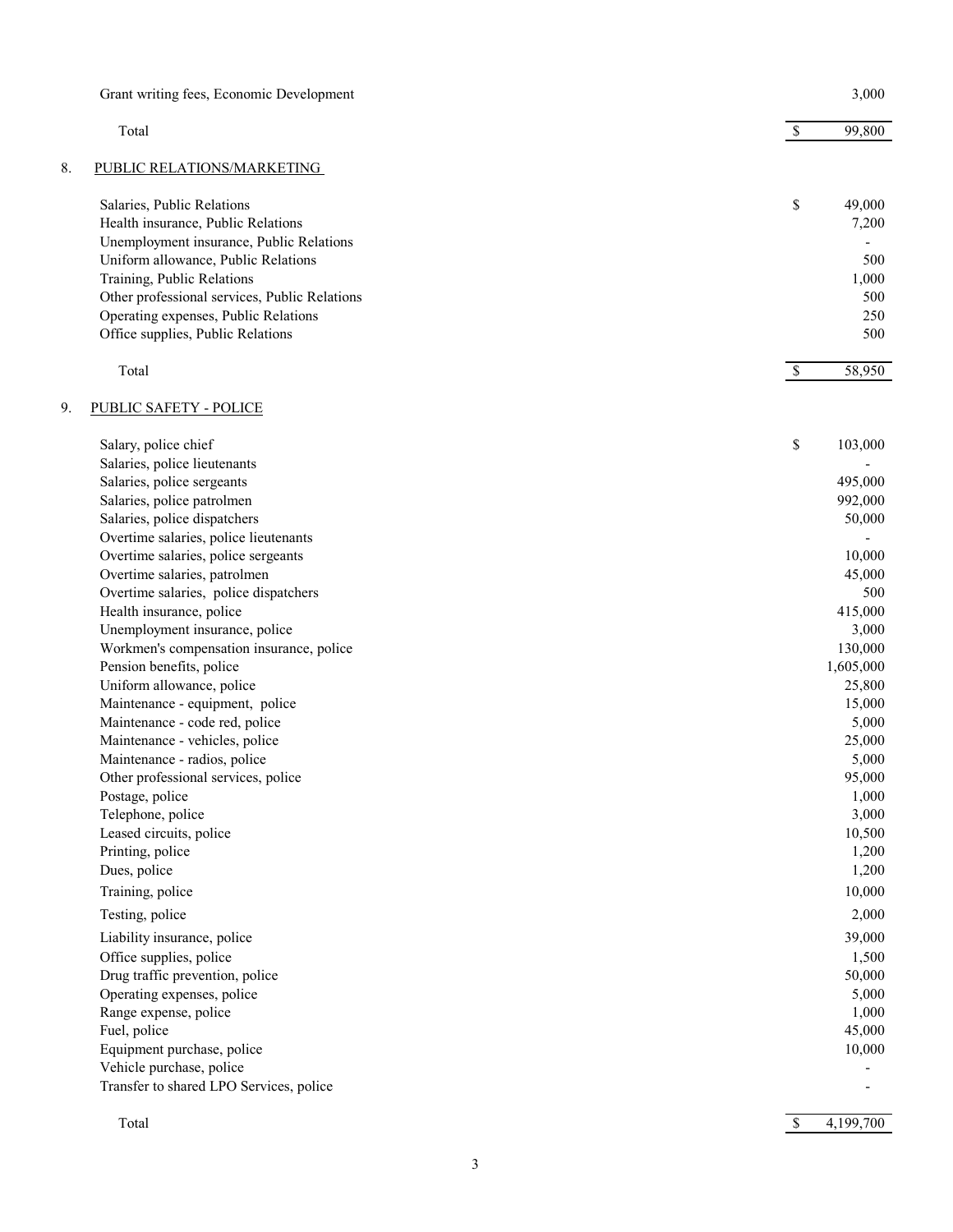|    | Grant writing fees, Economic Development                       |              | 3,000           |
|----|----------------------------------------------------------------|--------------|-----------------|
|    | Total                                                          | $\mathbb{S}$ | 99,800          |
| 8. | PUBLIC RELATIONS/MARKETING                                     |              |                 |
|    | Salaries, Public Relations                                     | \$           | 49,000          |
|    | Health insurance, Public Relations                             |              | 7,200           |
|    | Unemployment insurance, Public Relations                       |              |                 |
|    | Uniform allowance, Public Relations                            |              | 500             |
|    | Training, Public Relations                                     |              | 1,000           |
|    | Other professional services, Public Relations                  |              | 500             |
|    | Operating expenses, Public Relations                           |              | 250             |
|    | Office supplies, Public Relations                              |              | 500             |
|    | Total                                                          | $\mathbb{S}$ | 58,950          |
| 9. | <b>PUBLIC SAFETY - POLICE</b>                                  |              |                 |
|    | Salary, police chief                                           | \$           | 103,000         |
|    | Salaries, police lieutenants                                   |              |                 |
|    | Salaries, police sergeants                                     |              | 495,000         |
|    | Salaries, police patrolmen                                     |              | 992,000         |
|    | Salaries, police dispatchers                                   |              | 50,000          |
|    | Overtime salaries, police lieutenants                          |              |                 |
|    | Overtime salaries, police sergeants                            |              | 10,000          |
|    | Overtime salaries, patrolmen                                   |              | 45,000          |
|    | Overtime salaries, police dispatchers                          |              | 500             |
|    | Health insurance, police                                       |              | 415,000         |
|    | Unemployment insurance, police                                 |              | 3,000           |
|    | Workmen's compensation insurance, police                       |              | 130,000         |
|    | Pension benefits, police                                       |              | 1,605,000       |
|    | Uniform allowance, police                                      |              | 25,800          |
|    | Maintenance - equipment, police                                |              | 15,000          |
|    | Maintenance - code red, police                                 |              | 5,000           |
|    | Maintenance - vehicles, police<br>Maintenance - radios, police |              | 25,000<br>5,000 |
|    | Other professional services, police                            |              | 95,000          |
|    | Postage, police                                                |              | 1,000           |
|    | Telephone, police                                              |              | 3,000           |
|    | Leased circuits, police                                        |              | 10,500          |
|    | Printing, police                                               |              | 1,200           |
|    | Dues, police                                                   |              | 1,200           |
|    | Training, police                                               |              | 10,000          |
|    | Testing, police                                                |              | 2,000           |
|    | Liability insurance, police                                    |              | 39,000          |
|    | Office supplies, police                                        |              | 1,500           |
|    | Drug traffic prevention, police                                |              | 50,000          |
|    | Operating expenses, police                                     |              | 5,000           |
|    | Range expense, police                                          |              | 1,000           |
|    | Fuel, police                                                   |              | 45,000          |
|    | Equipment purchase, police                                     |              | 10,000          |
|    | Vehicle purchase, police                                       |              |                 |
|    | Transfer to shared LPO Services, police                        |              |                 |
|    | Total                                                          | $\mathbb{S}$ | 4,199,700       |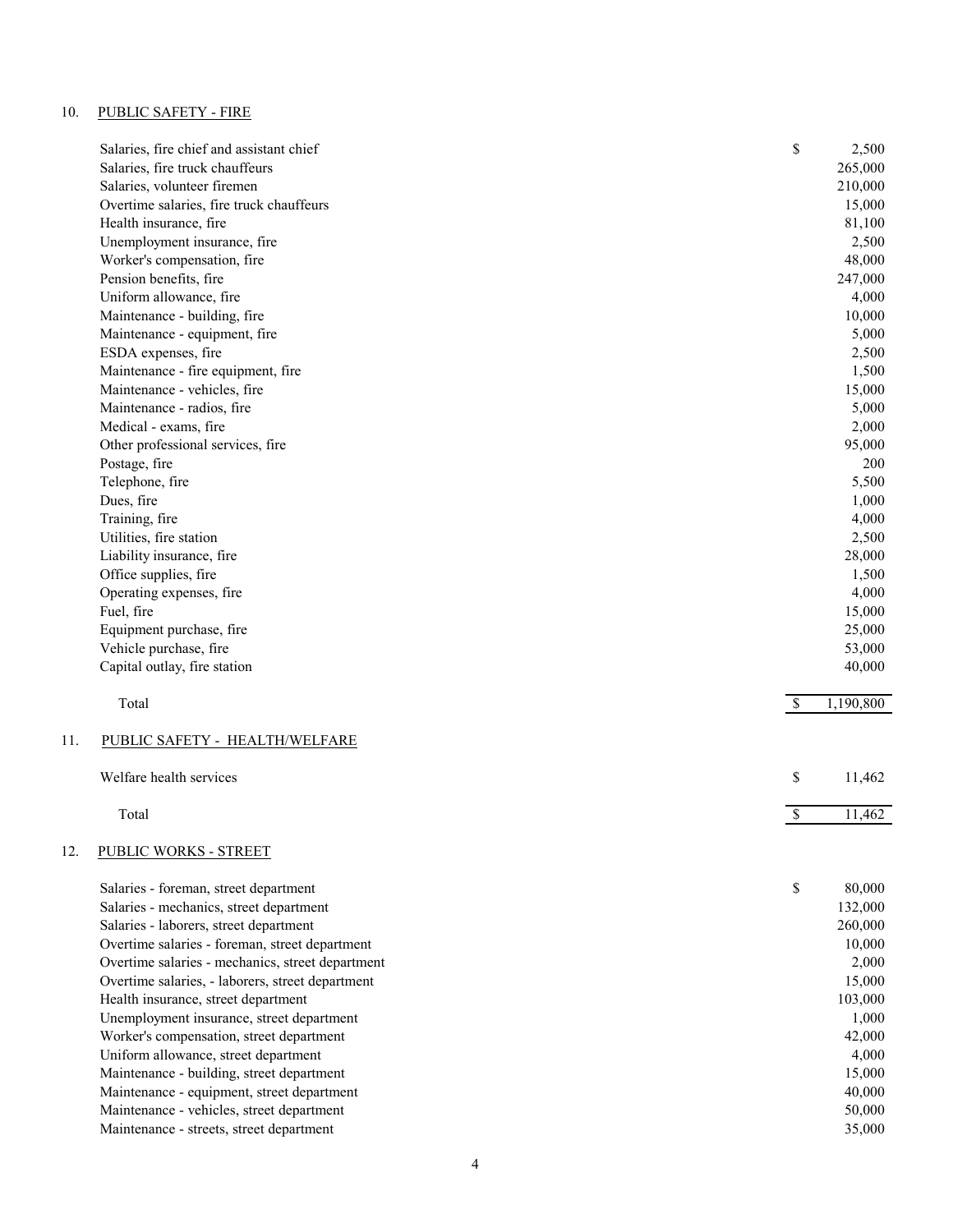# 10. PUBLIC SAFETY - FIRE

|     | Salaries, fire chief and assistant chief                                                | \$            | 2,500            |
|-----|-----------------------------------------------------------------------------------------|---------------|------------------|
|     | Salaries, fire truck chauffeurs                                                         |               | 265,000          |
|     | Salaries, volunteer firemen                                                             |               | 210,000          |
|     | Overtime salaries, fire truck chauffeurs                                                |               | 15,000           |
|     | Health insurance, fire                                                                  |               | 81,100           |
|     | Unemployment insurance, fire                                                            |               | 2,500            |
|     | Worker's compensation, fire                                                             |               | 48,000           |
|     | Pension benefits, fire                                                                  |               | 247,000          |
|     | Uniform allowance, fire                                                                 |               | 4,000            |
|     | Maintenance - building, fire                                                            |               | 10,000           |
|     | Maintenance - equipment, fire                                                           |               | 5,000            |
|     | ESDA expenses, fire                                                                     |               | 2,500            |
|     | Maintenance - fire equipment, fire                                                      |               | 1,500            |
|     | Maintenance - vehicles, fire                                                            |               | 15,000           |
|     | Maintenance - radios, fire                                                              |               | 5,000            |
|     | Medical - exams, fire                                                                   |               | 2,000            |
|     | Other professional services, fire                                                       |               | 95,000           |
|     | Postage, fire                                                                           |               | 200              |
|     | Telephone, fire                                                                         |               | 5,500            |
|     | Dues, fire                                                                              |               | 1,000            |
|     | Training, fire                                                                          |               | 4,000            |
|     | Utilities, fire station                                                                 |               | 2,500            |
|     | Liability insurance, fire                                                               |               | 28,000           |
|     | Office supplies, fire                                                                   |               | 1,500            |
|     | Operating expenses, fire                                                                |               | 4,000            |
|     | Fuel, fire                                                                              |               | 15,000           |
|     | Equipment purchase, fire                                                                |               | 25,000           |
|     | Vehicle purchase, fire                                                                  |               | 53,000           |
|     | Capital outlay, fire station                                                            |               | 40,000           |
|     | Total                                                                                   | $\mathcal{S}$ | 1,190,800        |
| 11. | PUBLIC SAFETY - HEALTH/WELFARE                                                          |               |                  |
|     | Welfare health services                                                                 | \$            | 11,462           |
|     | Total                                                                                   | $\mathbb{S}$  | 11,462           |
| 12. | PUBLIC WORKS - STREET                                                                   |               |                  |
|     | Salaries - foreman, street department                                                   | \$            | 80,000           |
|     | Salaries - mechanics, street department                                                 |               | 132,000          |
|     | Salaries - laborers, street department                                                  |               | 260,000          |
|     | Overtime salaries - foreman, street department                                          |               | 10,000           |
|     | Overtime salaries - mechanics, street department                                        |               | 2,000            |
|     | Overtime salaries, - laborers, street department                                        |               | 15,000           |
|     | Health insurance, street department                                                     |               | 103,000          |
|     | Unemployment insurance, street department                                               |               | 1,000            |
|     | Worker's compensation, street department                                                |               | 42,000           |
|     | Uniform allowance, street department                                                    |               | 4,000            |
|     |                                                                                         |               |                  |
|     |                                                                                         |               |                  |
|     | Maintenance - building, street department                                               |               | 15,000           |
|     | Maintenance - equipment, street department<br>Maintenance - vehicles, street department |               | 40,000<br>50,000 |

Maintenance - streets, street department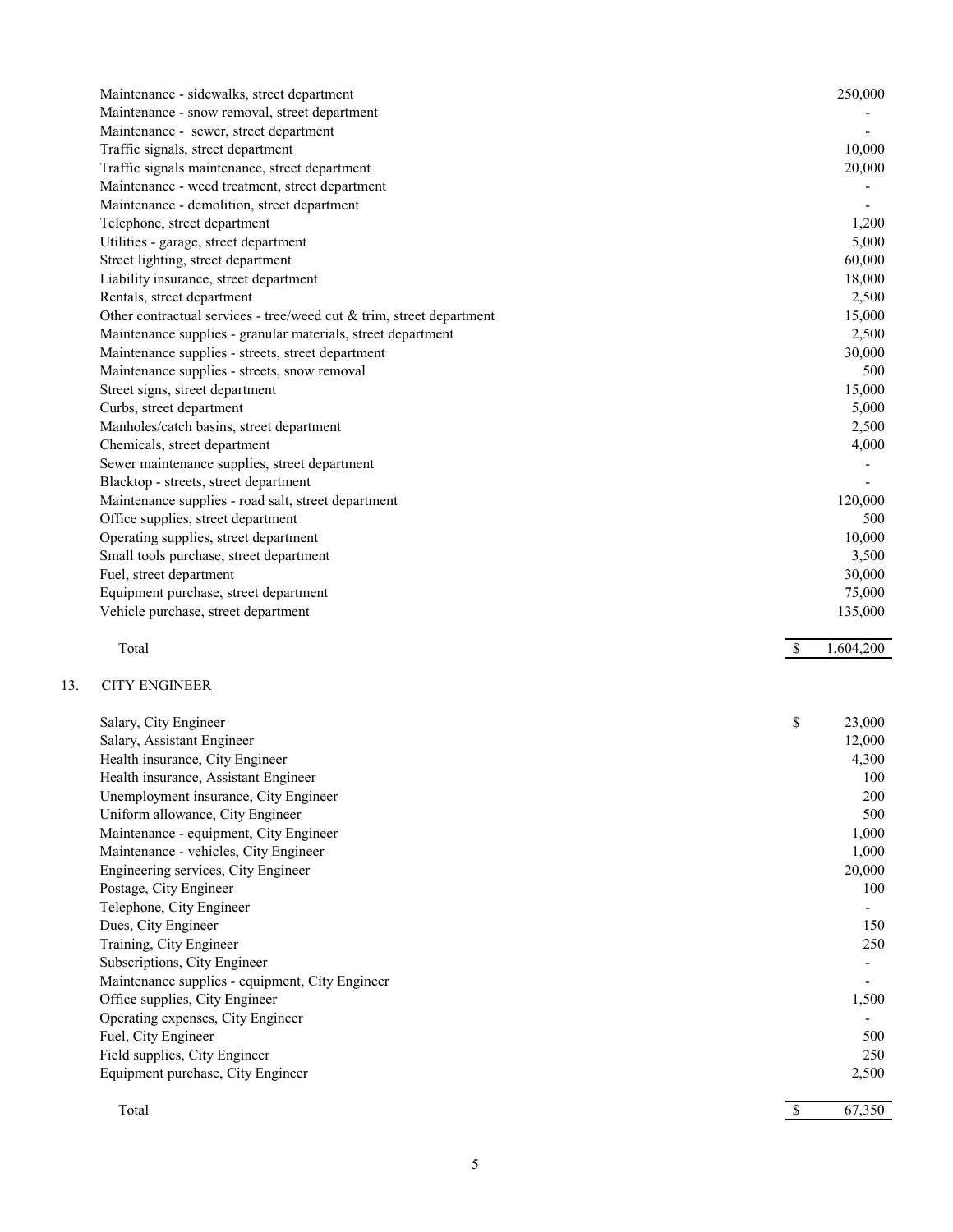| Maintenance - sidewalks, street department                                    |              | 250,000      |
|-------------------------------------------------------------------------------|--------------|--------------|
| Maintenance - snow removal, street department                                 |              |              |
| Maintenance - sewer, street department                                        |              |              |
| Traffic signals, street department                                            |              | 10,000       |
| Traffic signals maintenance, street department                                |              | 20,000       |
| Maintenance - weed treatment, street department                               |              |              |
| Maintenance - demolition, street department                                   |              |              |
| Telephone, street department                                                  |              | 1,200        |
| Utilities - garage, street department                                         |              | 5,000        |
| Street lighting, street department                                            |              | 60,000       |
| Liability insurance, street department                                        |              | 18,000       |
| Rentals, street department                                                    |              | 2,500        |
| Other contractual services - tree/weed cut $&$ trim, street department        |              | 15,000       |
| Maintenance supplies - granular materials, street department                  |              | 2,500        |
| Maintenance supplies - streets, street department                             |              | 30,000       |
| Maintenance supplies - streets, snow removal                                  |              | 500          |
| Street signs, street department                                               |              | 15,000       |
| Curbs, street department                                                      |              | 5,000        |
| Manholes/catch basins, street department                                      |              | 2,500        |
| Chemicals, street department                                                  |              | 4,000        |
| Sewer maintenance supplies, street department                                 |              |              |
| Blacktop - streets, street department                                         |              |              |
| Maintenance supplies - road salt, street department                           |              | 120,000      |
| Office supplies, street department                                            |              | 500          |
| Operating supplies, street department                                         |              | 10,000       |
| Small tools purchase, street department                                       |              | 3,500        |
| Fuel, street department                                                       |              | 30,000       |
|                                                                               |              |              |
| Equipment purchase, street department                                         |              | 75,000       |
| Vehicle purchase, street department                                           |              | 135,000      |
|                                                                               |              |              |
| Total                                                                         | $\mathbb{S}$ | 1,604,200    |
|                                                                               |              |              |
| <b>CITY ENGINEER</b>                                                          |              |              |
| Salary, City Engineer                                                         | \$           | 23,000       |
|                                                                               |              |              |
| Salary, Assistant Engineer                                                    |              | 12,000       |
| Health insurance, City Engineer                                               |              | 4,300<br>100 |
| Health insurance, Assistant Engineer<br>Unemployment insurance, City Engineer |              | 200          |
| Uniform allowance, City Engineer                                              |              | 500          |
| Maintenance - equipment, City Engineer                                        |              | 1,000        |
| Maintenance - vehicles, City Engineer                                         |              | 1,000        |
| Engineering services, City Engineer                                           |              | 20,000       |
| Postage, City Engineer                                                        |              | 100          |
| Telephone, City Engineer                                                      |              |              |
| Dues, City Engineer                                                           |              | 150          |
| Training, City Engineer                                                       |              | 250          |
| Subscriptions, City Engineer                                                  |              |              |
| Maintenance supplies - equipment, City Engineer                               |              |              |
| Office supplies, City Engineer                                                |              | 1,500        |
| Operating expenses, City Engineer                                             |              |              |
| Fuel, City Engineer                                                           |              | 500          |
| Field supplies, City Engineer                                                 |              | 250          |
| Equipment purchase, City Engineer                                             |              | 2,500        |

 $\text{Total}$   $\text{Total}$   $\text{Total}$   $\text{Total}$   $\text{Total}$   $\text{Total}$   $\text{Total}$   $\text{Total}$   $\text{Total}$   $\text{Total}$   $\text{Total}$   $\text{Total}$   $\text{Total}$   $\text{Total}$   $\text{Total}$   $\text{Total}$   $\text{Total}$   $\text{Total}$   $\text{Total}$   $\text{Total}$   $\text{Total}$   $\text{Total}$   $\text{Total}$   $\text{Total}$   $\text{Total}$   $\text{Total}$   $\text{Total}$   $\text{Total$ 

 $13.$ 

5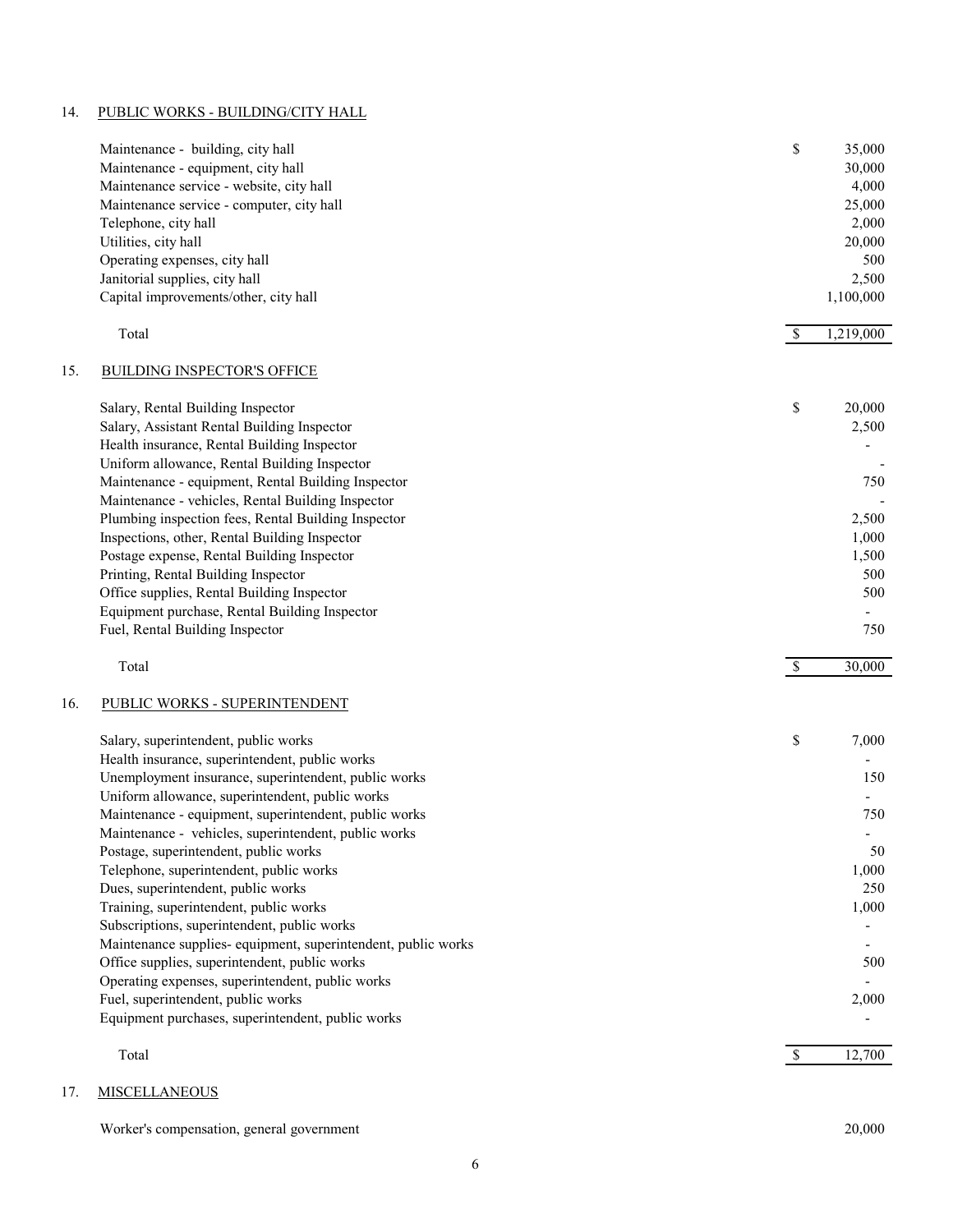# 14. PUBLIC WORKS - BUILDING/CITY HALL

| 1,219,000<br>Total<br>-S<br><b>BUILDING INSPECTOR'S OFFICE</b><br>\$<br>20,000<br>Salary, Rental Building Inspector<br>Salary, Assistant Rental Building Inspector<br>2,500<br>Health insurance, Rental Building Inspector<br>Uniform allowance, Rental Building Inspector<br>Maintenance - equipment, Rental Building Inspector<br>750<br>Maintenance - vehicles, Rental Building Inspector<br>Plumbing inspection fees, Rental Building Inspector<br>2,500<br>Inspections, other, Rental Building Inspector<br>1,000<br>Postage expense, Rental Building Inspector<br>1,500<br>Printing, Rental Building Inspector<br>500<br>Office supplies, Rental Building Inspector<br>500<br>Equipment purchase, Rental Building Inspector<br>Fuel, Rental Building Inspector<br>750<br>$\mathcal{S}$<br>30,000<br>Total<br>PUBLIC WORKS - SUPERINTENDENT<br>\$<br>7,000<br>Salary, superintendent, public works<br>Health insurance, superintendent, public works<br>Unemployment insurance, superintendent, public works<br>150<br>Uniform allowance, superintendent, public works<br>Maintenance - equipment, superintendent, public works<br>750<br>Maintenance - vehicles, superintendent, public works<br>Postage, superintendent, public works<br>50<br>Telephone, superintendent, public works<br>1,000<br>Dues, superintendent, public works<br>250<br>Training, superintendent, public works<br>1,000<br>Subscriptions, superintendent, public works<br>Maintenance supplies- equipment, superintendent, public works<br>Office supplies, superintendent, public works<br>500<br>Operating expenses, superintendent, public works<br>Fuel, superintendent, public works<br>2,000<br>Equipment purchases, superintendent, public works<br>12,700<br>Total<br>$\mathbb{S}$ |     | Maintenance - building, city hall<br>Maintenance - equipment, city hall<br>Maintenance service - website, city hall<br>Maintenance service - computer, city hall<br>Telephone, city hall<br>Utilities, city hall<br>Operating expenses, city hall<br>Janitorial supplies, city hall<br>Capital improvements/other, city hall | \$<br>35,000<br>30,000<br>4,000<br>25,000<br>2,000<br>20,000<br>500<br>2,500<br>1,100,000 |
|---------------------------------------------------------------------------------------------------------------------------------------------------------------------------------------------------------------------------------------------------------------------------------------------------------------------------------------------------------------------------------------------------------------------------------------------------------------------------------------------------------------------------------------------------------------------------------------------------------------------------------------------------------------------------------------------------------------------------------------------------------------------------------------------------------------------------------------------------------------------------------------------------------------------------------------------------------------------------------------------------------------------------------------------------------------------------------------------------------------------------------------------------------------------------------------------------------------------------------------------------------------------------------------------------------------------------------------------------------------------------------------------------------------------------------------------------------------------------------------------------------------------------------------------------------------------------------------------------------------------------------------------------------------------------------------------------------------------------------------------------------------------------|-----|------------------------------------------------------------------------------------------------------------------------------------------------------------------------------------------------------------------------------------------------------------------------------------------------------------------------------|-------------------------------------------------------------------------------------------|
|                                                                                                                                                                                                                                                                                                                                                                                                                                                                                                                                                                                                                                                                                                                                                                                                                                                                                                                                                                                                                                                                                                                                                                                                                                                                                                                                                                                                                                                                                                                                                                                                                                                                                                                                                                           |     |                                                                                                                                                                                                                                                                                                                              |                                                                                           |
|                                                                                                                                                                                                                                                                                                                                                                                                                                                                                                                                                                                                                                                                                                                                                                                                                                                                                                                                                                                                                                                                                                                                                                                                                                                                                                                                                                                                                                                                                                                                                                                                                                                                                                                                                                           | 15. |                                                                                                                                                                                                                                                                                                                              |                                                                                           |
|                                                                                                                                                                                                                                                                                                                                                                                                                                                                                                                                                                                                                                                                                                                                                                                                                                                                                                                                                                                                                                                                                                                                                                                                                                                                                                                                                                                                                                                                                                                                                                                                                                                                                                                                                                           |     |                                                                                                                                                                                                                                                                                                                              |                                                                                           |
|                                                                                                                                                                                                                                                                                                                                                                                                                                                                                                                                                                                                                                                                                                                                                                                                                                                                                                                                                                                                                                                                                                                                                                                                                                                                                                                                                                                                                                                                                                                                                                                                                                                                                                                                                                           |     |                                                                                                                                                                                                                                                                                                                              |                                                                                           |
|                                                                                                                                                                                                                                                                                                                                                                                                                                                                                                                                                                                                                                                                                                                                                                                                                                                                                                                                                                                                                                                                                                                                                                                                                                                                                                                                                                                                                                                                                                                                                                                                                                                                                                                                                                           |     |                                                                                                                                                                                                                                                                                                                              |                                                                                           |
|                                                                                                                                                                                                                                                                                                                                                                                                                                                                                                                                                                                                                                                                                                                                                                                                                                                                                                                                                                                                                                                                                                                                                                                                                                                                                                                                                                                                                                                                                                                                                                                                                                                                                                                                                                           |     |                                                                                                                                                                                                                                                                                                                              |                                                                                           |
|                                                                                                                                                                                                                                                                                                                                                                                                                                                                                                                                                                                                                                                                                                                                                                                                                                                                                                                                                                                                                                                                                                                                                                                                                                                                                                                                                                                                                                                                                                                                                                                                                                                                                                                                                                           |     |                                                                                                                                                                                                                                                                                                                              |                                                                                           |
|                                                                                                                                                                                                                                                                                                                                                                                                                                                                                                                                                                                                                                                                                                                                                                                                                                                                                                                                                                                                                                                                                                                                                                                                                                                                                                                                                                                                                                                                                                                                                                                                                                                                                                                                                                           | 16. |                                                                                                                                                                                                                                                                                                                              |                                                                                           |
|                                                                                                                                                                                                                                                                                                                                                                                                                                                                                                                                                                                                                                                                                                                                                                                                                                                                                                                                                                                                                                                                                                                                                                                                                                                                                                                                                                                                                                                                                                                                                                                                                                                                                                                                                                           |     |                                                                                                                                                                                                                                                                                                                              |                                                                                           |
|                                                                                                                                                                                                                                                                                                                                                                                                                                                                                                                                                                                                                                                                                                                                                                                                                                                                                                                                                                                                                                                                                                                                                                                                                                                                                                                                                                                                                                                                                                                                                                                                                                                                                                                                                                           |     |                                                                                                                                                                                                                                                                                                                              |                                                                                           |

# 17. MISCELLANEOUS

Worker's compensation, general government 20,000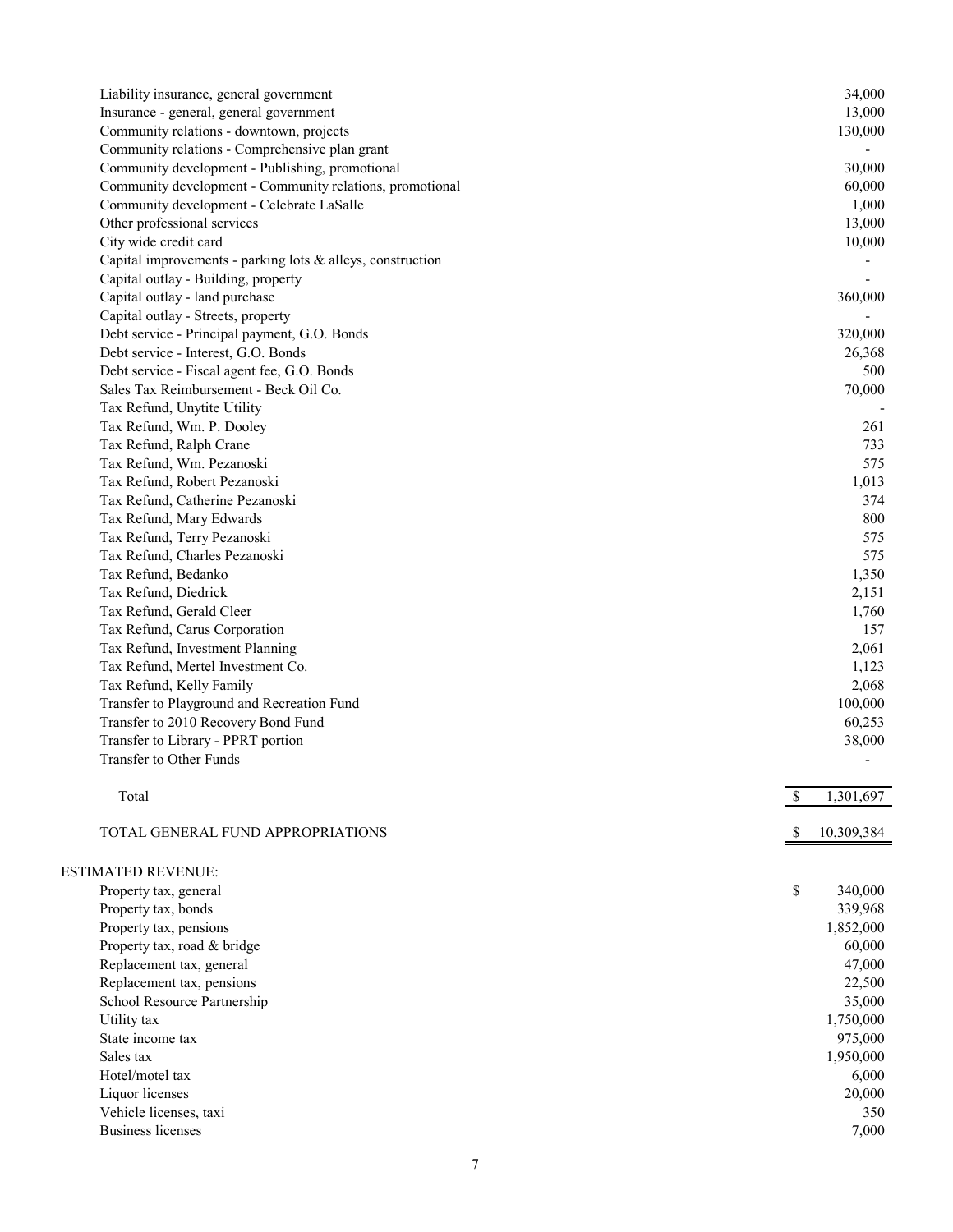| Liability insurance, general government                    | 34,000          |
|------------------------------------------------------------|-----------------|
| Insurance - general, general government                    | 13,000          |
| Community relations - downtown, projects                   | 130,000         |
| Community relations - Comprehensive plan grant             |                 |
| Community development - Publishing, promotional            | 30,000          |
| Community development - Community relations, promotional   | 60,000          |
| Community development - Celebrate LaSalle                  | 1,000           |
| Other professional services                                | 13,000          |
| City wide credit card                                      | 10,000          |
| Capital improvements - parking lots & alleys, construction |                 |
| Capital outlay - Building, property                        |                 |
| Capital outlay - land purchase                             | 360,000         |
| Capital outlay - Streets, property                         |                 |
| Debt service - Principal payment, G.O. Bonds               | 320,000         |
| Debt service - Interest, G.O. Bonds                        | 26,368          |
|                                                            |                 |
| Debt service - Fiscal agent fee, G.O. Bonds                | 500             |
| Sales Tax Reimbursement - Beck Oil Co.                     | 70,000          |
| Tax Refund, Unytite Utility                                |                 |
| Tax Refund, Wm. P. Dooley                                  | 261             |
| Tax Refund, Ralph Crane                                    | 733             |
| Tax Refund, Wm. Pezanoski                                  | 575             |
| Tax Refund, Robert Pezanoski                               | 1,013           |
| Tax Refund, Catherine Pezanoski                            | 374             |
| Tax Refund, Mary Edwards                                   | 800             |
| Tax Refund, Terry Pezanoski                                | 575             |
| Tax Refund, Charles Pezanoski                              | 575             |
| Tax Refund, Bedanko                                        | 1,350           |
| Tax Refund, Diedrick                                       | 2,151           |
| Tax Refund, Gerald Cleer                                   | 1,760           |
| Tax Refund, Carus Corporation                              | 157             |
| Tax Refund, Investment Planning                            | 2,061           |
| Tax Refund, Mertel Investment Co.                          | 1,123           |
| Tax Refund, Kelly Family                                   | 2,068           |
| Transfer to Playground and Recreation Fund                 | 100,000         |
| Transfer to 2010 Recovery Bond Fund                        | 60,253          |
| Transfer to Library - PPRT portion                         | 38,000          |
| Transfer to Other Funds                                    |                 |
|                                                            |                 |
| Total                                                      | \$<br>1,301,697 |
|                                                            |                 |
| TOTAL GENERAL FUND APPROPRIATIONS                          | 10,309,384      |
|                                                            |                 |
| <b>ESTIMATED REVENUE:</b>                                  |                 |
| Property tax, general                                      | \$<br>340,000   |
| Property tax, bonds                                        | 339,968         |
| Property tax, pensions                                     | 1,852,000       |
| Property tax, road & bridge                                | 60,000          |
| Replacement tax, general                                   | 47,000          |
|                                                            |                 |
| Replacement tax, pensions                                  | 22,500          |
| School Resource Partnership                                | 35,000          |
| Utility tax                                                | 1,750,000       |
| State income tax                                           | 975,000         |
| Sales tax                                                  | 1,950,000       |
| Hotel/motel tax                                            | 6,000           |
| Liquor licenses                                            | 20,000          |
| Vehicle licenses, taxi                                     | 350             |
| <b>Business licenses</b>                                   | 7,000           |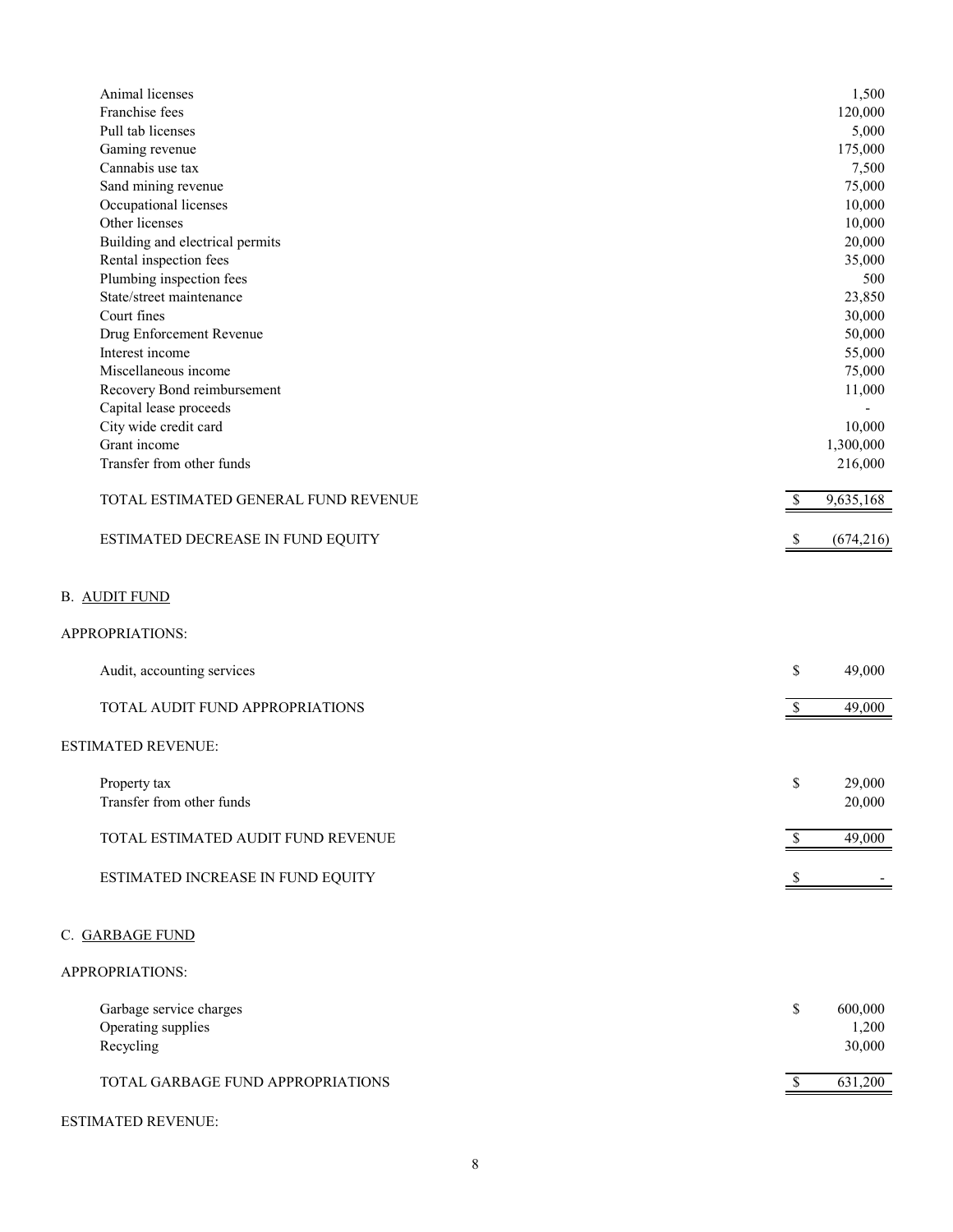| Animal licenses<br>Franchise fees       |              | 1,500<br>120,000 |
|-----------------------------------------|--------------|------------------|
| Pull tab licenses                       |              | 5,000            |
| Gaming revenue                          |              | 175,000          |
| Cannabis use tax                        |              | 7,500            |
| Sand mining revenue                     |              | 75,000           |
| Occupational licenses                   |              | 10,000           |
| Other licenses                          |              | 10,000           |
| Building and electrical permits         |              | 20,000           |
| Rental inspection fees                  |              | 35,000           |
| Plumbing inspection fees                |              | 500              |
| State/street maintenance                |              | 23,850           |
| Court fines                             |              | 30,000           |
| Drug Enforcement Revenue                |              | 50,000           |
| Interest income                         |              | 55,000           |
| Miscellaneous income                    |              | 75,000           |
| Recovery Bond reimbursement             |              | 11,000           |
| Capital lease proceeds                  |              |                  |
|                                         |              |                  |
| City wide credit card                   |              | 10,000           |
| Grant income                            |              | 1,300,000        |
| Transfer from other funds               |              | 216,000          |
| TOTAL ESTIMATED GENERAL FUND REVENUE    | \$           | 9,635,168        |
| ESTIMATED DECREASE IN FUND EQUITY       | \$           | (674, 216)       |
| <b>B. AUDIT FUND</b><br>APPROPRIATIONS: |              |                  |
| Audit, accounting services              | \$           | 49,000           |
| TOTAL AUDIT FUND APPROPRIATIONS         | \$           | 49,000           |
| <b>ESTIMATED REVENUE:</b>               |              |                  |
|                                         |              |                  |
| Property tax                            | \$           | 29,000           |
| Transfer from other funds               |              | 20,000           |
|                                         |              |                  |
| TOTAL ESTIMATED AUDIT FUND REVENUE      | $\mathbb{S}$ | 49,000           |
|                                         |              |                  |
| ESTIMATED INCREASE IN FUND EQUITY       | S            |                  |
|                                         |              |                  |
| C. GARBAGE FUND                         |              |                  |
| APPROPRIATIONS:                         |              |                  |
| Garbage service charges                 | \$           | 600,000          |
| Operating supplies                      |              | 1,200            |
| Recycling                               |              | 30,000           |
|                                         |              |                  |
| TOTAL GARBAGE FUND APPROPRIATIONS       | $\$$         | 631,200          |
|                                         |              |                  |

# ESTIMATED REVENUE: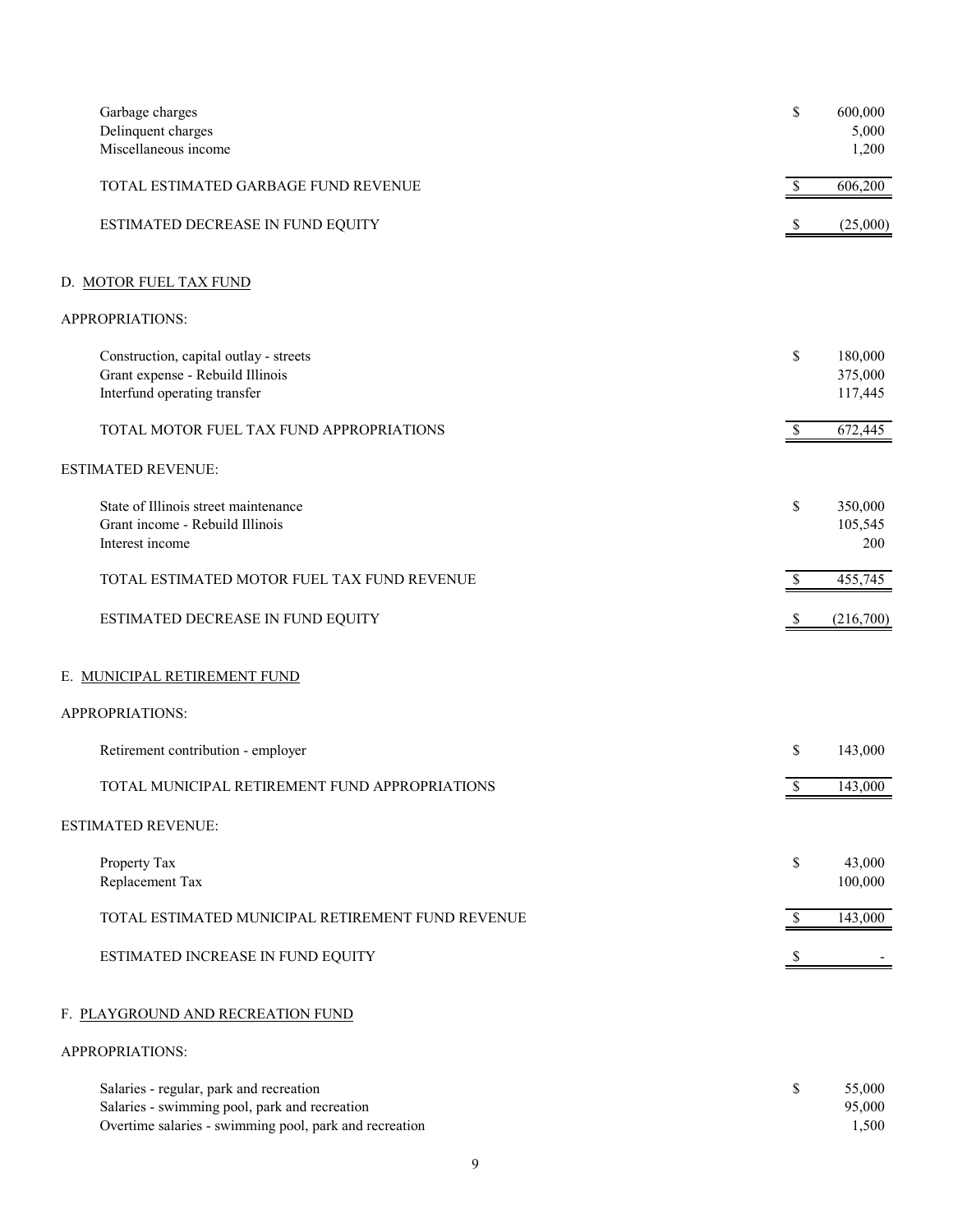| Garbage charges<br>Delinquent charges                                                                      | \$                        | 600,000<br>5,000              |
|------------------------------------------------------------------------------------------------------------|---------------------------|-------------------------------|
| Miscellaneous income                                                                                       |                           | 1,200                         |
| TOTAL ESTIMATED GARBAGE FUND REVENUE                                                                       | \$                        | 606,200                       |
| ESTIMATED DECREASE IN FUND EQUITY                                                                          | $\boldsymbol{\mathsf{S}}$ | (25,000)                      |
| D. MOTOR FUEL TAX FUND                                                                                     |                           |                               |
| APPROPRIATIONS:                                                                                            |                           |                               |
| Construction, capital outlay - streets<br>Grant expense - Rebuild Illinois<br>Interfund operating transfer | \$                        | 180,000<br>375,000<br>117,445 |
| TOTAL MOTOR FUEL TAX FUND APPROPRIATIONS                                                                   | $\mathbb{S}$              | 672,445                       |
| <b>ESTIMATED REVENUE:</b>                                                                                  |                           |                               |
| State of Illinois street maintenance<br>Grant income - Rebuild Illinois<br>Interest income                 | \$                        | 350,000<br>105,545<br>200     |
| TOTAL ESTIMATED MOTOR FUEL TAX FUND REVENUE                                                                | $\boldsymbol{\mathsf{S}}$ | 455,745                       |
| ESTIMATED DECREASE IN FUND EQUITY                                                                          | \$                        | (216,700)                     |
| E. MUNICIPAL RETIREMENT FUND                                                                               |                           |                               |
| APPROPRIATIONS:                                                                                            |                           |                               |
| Retirement contribution - employer                                                                         | \$                        | 143,000                       |
| TOTAL MUNICIPAL RETIREMENT FUND APPROPRIATIONS                                                             | \$                        | 143,000                       |
| <b>ESTIMATED REVENUE:</b>                                                                                  |                           |                               |
| Property Tax<br>Replacement Tax                                                                            | \$                        | 43,000<br>100,000             |
| TOTAL ESTIMATED MUNICIPAL RETIREMENT FUND REVENUE                                                          | \$                        | 143,000                       |
| ESTIMATED INCREASE IN FUND EQUITY                                                                          |                           |                               |
| F. PLAYGROUND AND RECREATION FUND                                                                          |                           |                               |
| APPROPRIATIONS:                                                                                            |                           |                               |
| Salaries - regular, park and recreation                                                                    |                           | 55.000                        |

| Salaries - regular, park and recreation                | 55,000 |
|--------------------------------------------------------|--------|
| Salaries - swimming pool, park and recreation          | 95,000 |
| Overtime salaries - swimming pool, park and recreation | .500   |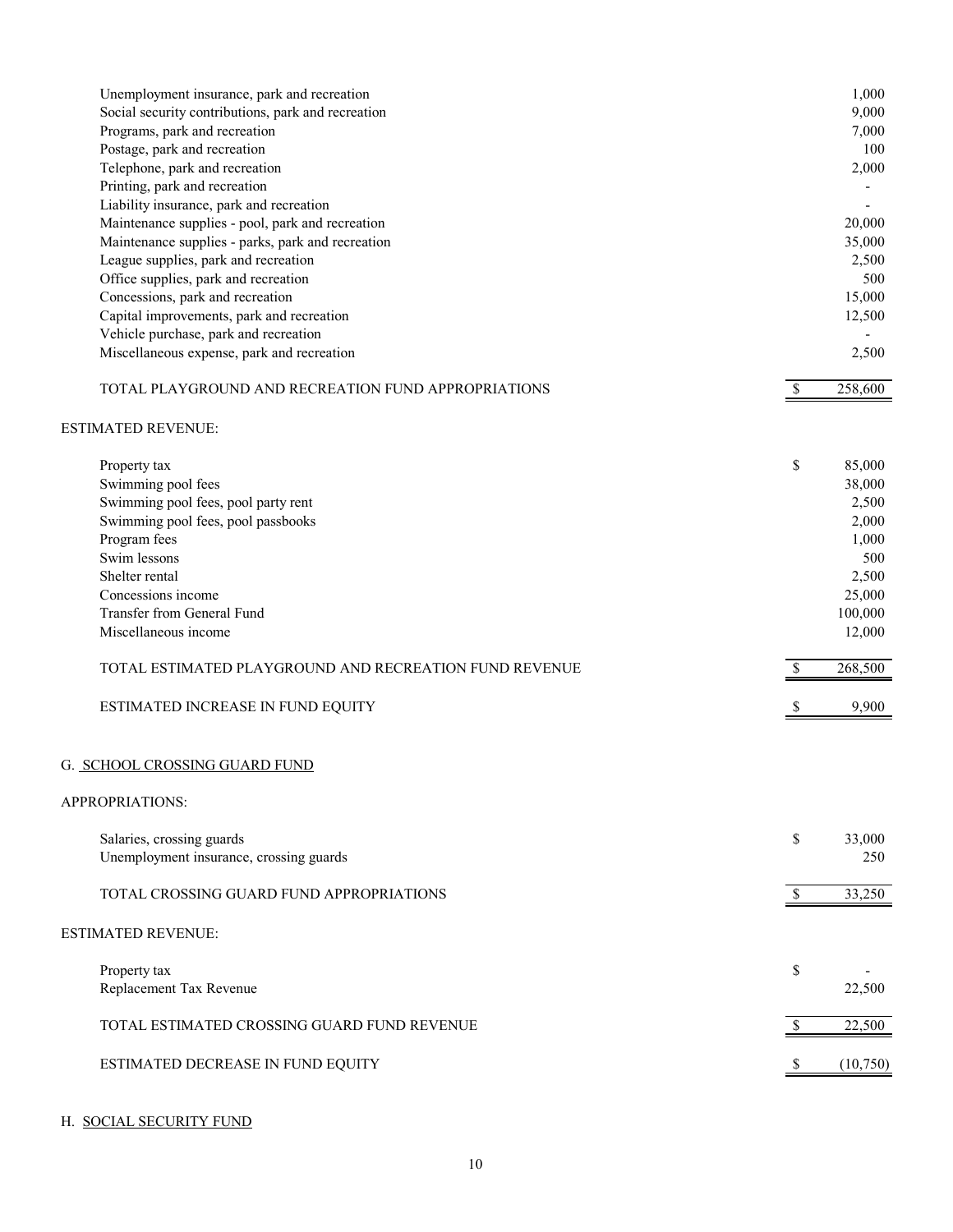| Unemployment insurance, park and recreation<br>Social security contributions, park and recreation<br>Programs, park and recreation<br>Postage, park and recreation<br>Telephone, park and recreation<br>Printing, park and recreation<br>Liability insurance, park and recreation<br>Maintenance supplies - pool, park and recreation<br>Maintenance supplies - parks, park and recreation<br>League supplies, park and recreation<br>Office supplies, park and recreation<br>Concessions, park and recreation<br>Capital improvements, park and recreation<br>Vehicle purchase, park and recreation |                    | 1,000<br>9,000<br>7,000<br>100<br>2,000<br>20,000<br>35,000<br>2,500<br>500<br>15,000<br>12,500                |
|------------------------------------------------------------------------------------------------------------------------------------------------------------------------------------------------------------------------------------------------------------------------------------------------------------------------------------------------------------------------------------------------------------------------------------------------------------------------------------------------------------------------------------------------------------------------------------------------------|--------------------|----------------------------------------------------------------------------------------------------------------|
| Miscellaneous expense, park and recreation<br>TOTAL PLAYGROUND AND RECREATION FUND APPROPRIATIONS                                                                                                                                                                                                                                                                                                                                                                                                                                                                                                    | $\mathbb{S}$       | 2,500<br>258,600                                                                                               |
| <b>ESTIMATED REVENUE:</b>                                                                                                                                                                                                                                                                                                                                                                                                                                                                                                                                                                            |                    |                                                                                                                |
| Property tax<br>Swimming pool fees<br>Swimming pool fees, pool party rent<br>Swimming pool fees, pool passbooks<br>Program fees<br>Swim lessons<br>Shelter rental<br>Concessions income<br>Transfer from General Fund<br>Miscellaneous income<br>TOTAL ESTIMATED PLAYGROUND AND RECREATION FUND REVENUE<br>ESTIMATED INCREASE IN FUND EQUITY                                                                                                                                                                                                                                                         | \$<br><sup>S</sup> | 85,000<br>38,000<br>2,500<br>2,000<br>1,000<br>500<br>2,500<br>25,000<br>100,000<br>12,000<br>268,500<br>9,900 |
| G. SCHOOL CROSSING GUARD FUND                                                                                                                                                                                                                                                                                                                                                                                                                                                                                                                                                                        |                    |                                                                                                                |
| APPROPRIATIONS:                                                                                                                                                                                                                                                                                                                                                                                                                                                                                                                                                                                      |                    |                                                                                                                |
| Salaries, crossing guards<br>Unemployment insurance, crossing guards                                                                                                                                                                                                                                                                                                                                                                                                                                                                                                                                 | \$                 | 33,000<br>250                                                                                                  |
| TOTAL CROSSING GUARD FUND APPROPRIATIONS                                                                                                                                                                                                                                                                                                                                                                                                                                                                                                                                                             | <sup>\$</sup>      | 33,250                                                                                                         |
| <b>ESTIMATED REVENUE:</b>                                                                                                                                                                                                                                                                                                                                                                                                                                                                                                                                                                            |                    |                                                                                                                |
| Property tax<br>Replacement Tax Revenue                                                                                                                                                                                                                                                                                                                                                                                                                                                                                                                                                              | \$                 | 22,500                                                                                                         |
| TOTAL ESTIMATED CROSSING GUARD FUND REVENUE                                                                                                                                                                                                                                                                                                                                                                                                                                                                                                                                                          |                    | 22,500                                                                                                         |
| ESTIMATED DECREASE IN FUND EQUITY                                                                                                                                                                                                                                                                                                                                                                                                                                                                                                                                                                    |                    | (10,750)                                                                                                       |

# H. SOCIAL SECURITY FUND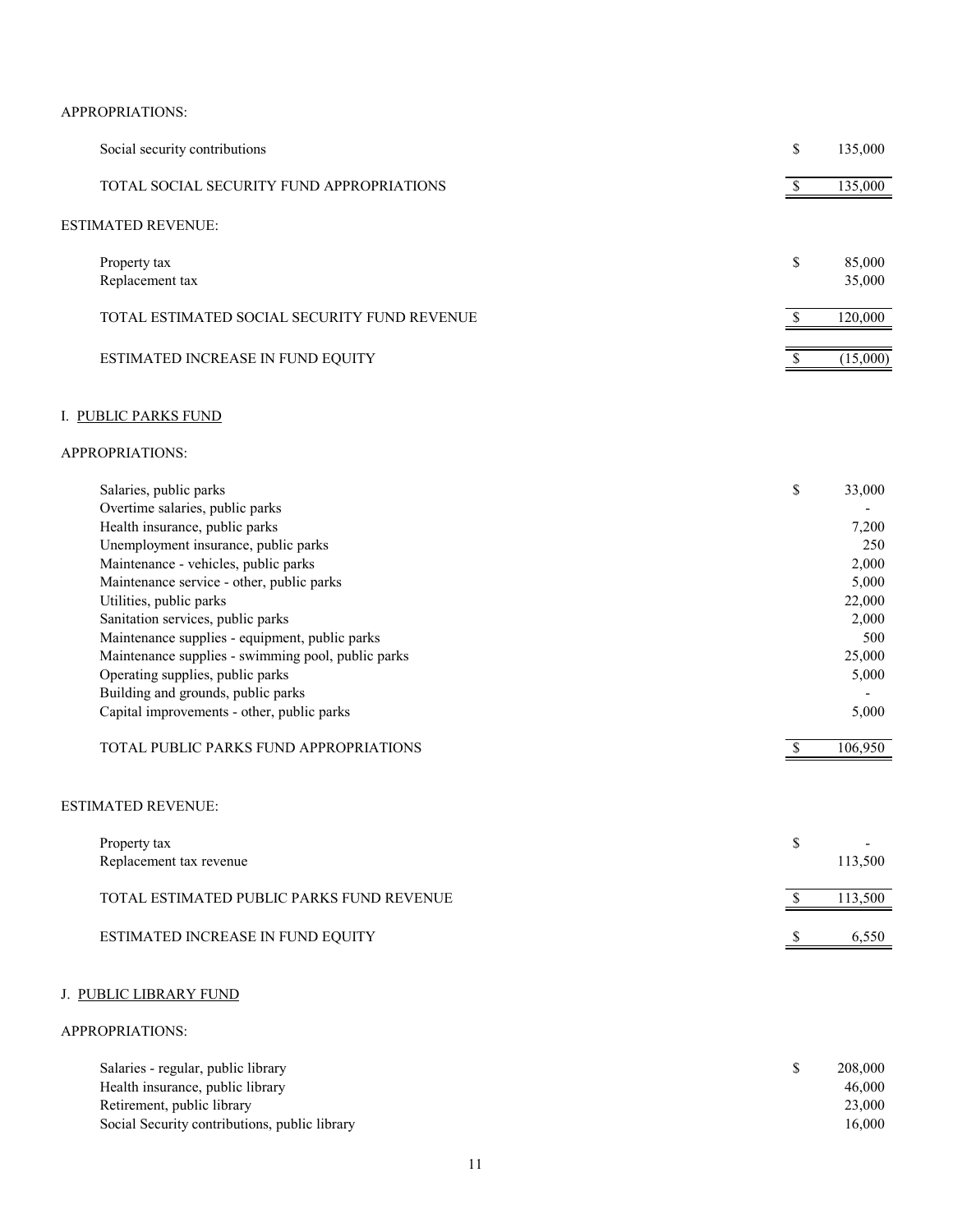## APPROPRIATIONS:

| Social security contributions                | \$<br>135,000          |
|----------------------------------------------|------------------------|
| TOTAL SOCIAL SECURITY FUND APPROPRIATIONS    | 135,000                |
| ESTIMATED REVENUE:                           |                        |
| Property tax<br>Replacement tax              | \$<br>85,000<br>35,000 |
| TOTAL ESTIMATED SOCIAL SECURITY FUND REVENUE | 120,000                |
| ESTIMATED INCREASE IN FUND EQUITY            | (15,000)               |

## I. PUBLIC PARKS FUND

#### APPROPRIATIONS:

| Salaries, public parks                             | \$<br>33,000 |
|----------------------------------------------------|--------------|
| Overtime salaries, public parks                    | -            |
| Health insurance, public parks                     | 7,200        |
| Unemployment insurance, public parks               | 250          |
| Maintenance - vehicles, public parks               | 2,000        |
| Maintenance service - other, public parks          | 5,000        |
| Utilities, public parks                            | 22,000       |
| Sanitation services, public parks                  | 2,000        |
| Maintenance supplies - equipment, public parks     | 500          |
| Maintenance supplies - swimming pool, public parks | 25,000       |
| Operating supplies, public parks                   | 5,000        |
| Building and grounds, public parks                 |              |
| Capital improvements - other, public parks         | 5,000        |
|                                                    |              |
| TOTAL PUBLIC PARKS FUND APPROPRIATIONS             | 106.950      |

#### ESTIMATED REVENUE:

| Property tax<br>Replacement tax revenue   | 113,500 |
|-------------------------------------------|---------|
| TOTAL ESTIMATED PUBLIC PARKS FUND REVENUE | 13,500  |
| ESTIMATED INCREASE IN FUND EQUITY         | 6.550   |

## J. PUBLIC LIBRARY FUND

| Salaries - regular, public library            | 208,000 |
|-----------------------------------------------|---------|
| Health insurance, public library              | 46,000  |
| Retirement, public library                    | 23,000  |
| Social Security contributions, public library | 16.000  |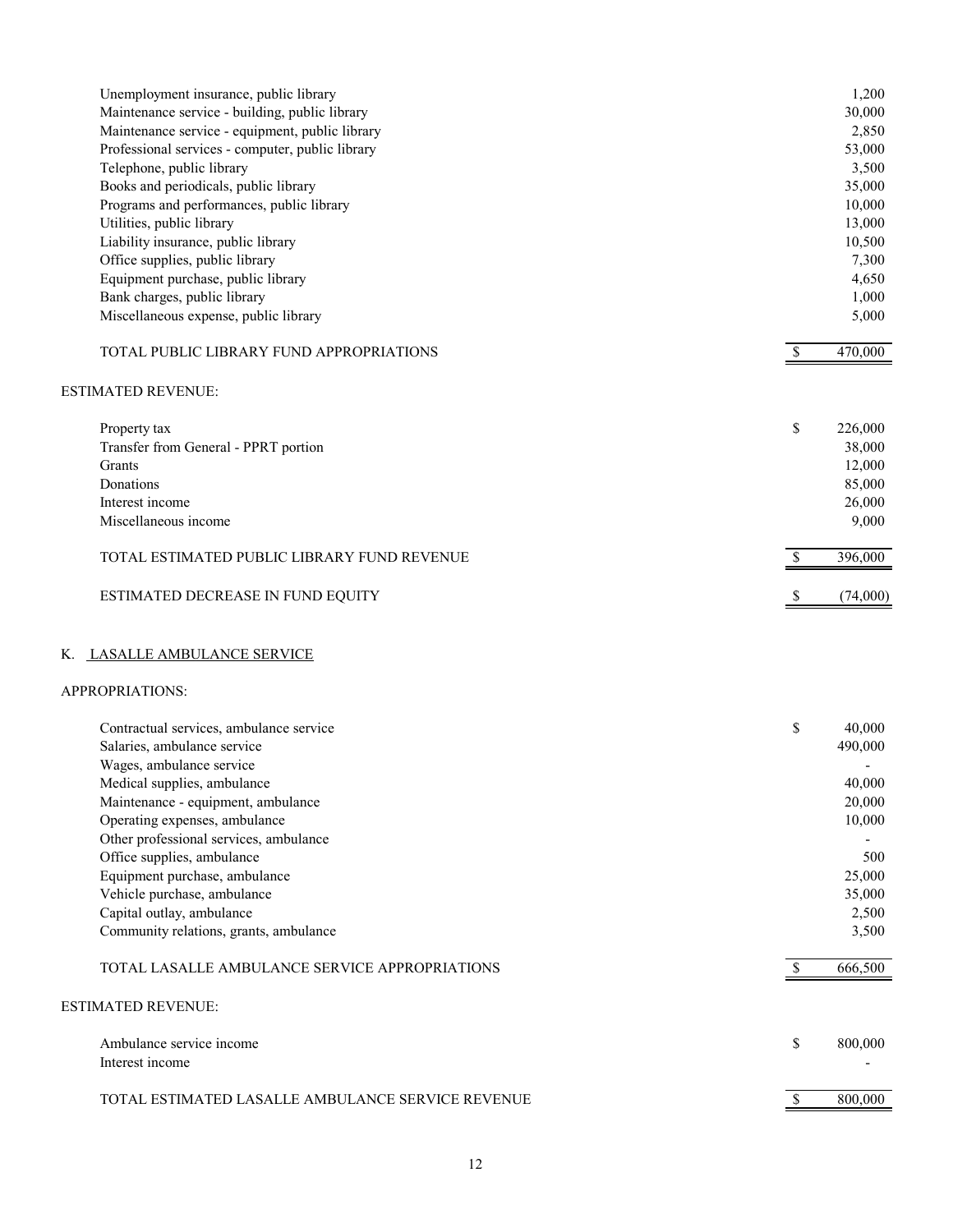| Unemployment insurance, public library<br>Maintenance service - building, public library |              | 1,200<br>30,000 |
|------------------------------------------------------------------------------------------|--------------|-----------------|
| Maintenance service - equipment, public library                                          |              | 2,850           |
| Professional services - computer, public library                                         |              | 53,000          |
| Telephone, public library                                                                |              | 3,500           |
| Books and periodicals, public library                                                    |              | 35,000          |
| Programs and performances, public library                                                |              | 10,000          |
| Utilities, public library                                                                |              | 13,000          |
| Liability insurance, public library                                                      |              | 10,500          |
| Office supplies, public library                                                          |              | 7,300           |
| Equipment purchase, public library                                                       |              | 4,650           |
| Bank charges, public library                                                             |              | 1,000           |
| Miscellaneous expense, public library                                                    |              | 5,000           |
| TOTAL PUBLIC LIBRARY FUND APPROPRIATIONS                                                 | $\mathbb{S}$ | 470,000         |
| <b>ESTIMATED REVENUE:</b>                                                                |              |                 |
| Property tax                                                                             | \$           | 226,000         |
| Transfer from General - PPRT portion                                                     |              | 38,000          |
| Grants                                                                                   |              | 12,000          |
| Donations                                                                                |              | 85,000          |
| Interest income                                                                          |              | 26,000          |
| Miscellaneous income                                                                     |              | 9,000           |
| TOTAL ESTIMATED PUBLIC LIBRARY FUND REVENUE                                              | \$           | 396,000         |
| ESTIMATED DECREASE IN FUND EQUITY                                                        | \$           | (74,000)        |
| K. LASALLE AMBULANCE SERVICE<br>APPROPRIATIONS:                                          |              |                 |
|                                                                                          |              |                 |
| Contractual services, ambulance service                                                  | \$           | 40,000          |
| Salaries, ambulance service<br>Wages, ambulance service                                  |              | 490,000         |
| Medical supplies, ambulance                                                              |              | 40,000          |
| Maintenance - equipment, ambulance                                                       |              | 20,000          |
| Operating expenses, ambulance                                                            |              | 10,000          |
| Other professional services, ambulance                                                   |              |                 |
| Office supplies, ambulance                                                               |              | 500             |
| Equipment purchase, ambulance                                                            |              | 25,000          |
| Vehicle purchase, ambulance                                                              |              | 35,000          |
| Capital outlay, ambulance                                                                |              | 2,500           |
| Community relations, grants, ambulance                                                   |              | 3,500           |
| TOTAL LASALLE AMBULANCE SERVICE APPROPRIATIONS                                           | \$           | 666,500         |
| <b>ESTIMATED REVENUE:</b>                                                                |              |                 |
|                                                                                          |              |                 |
| Ambulance service income                                                                 | \$           | 800,000         |
| Interest income                                                                          |              |                 |
| TOTAL ESTIMATED LASALLE AMBULANCE SERVICE REVENUE                                        | \$           | 800,000         |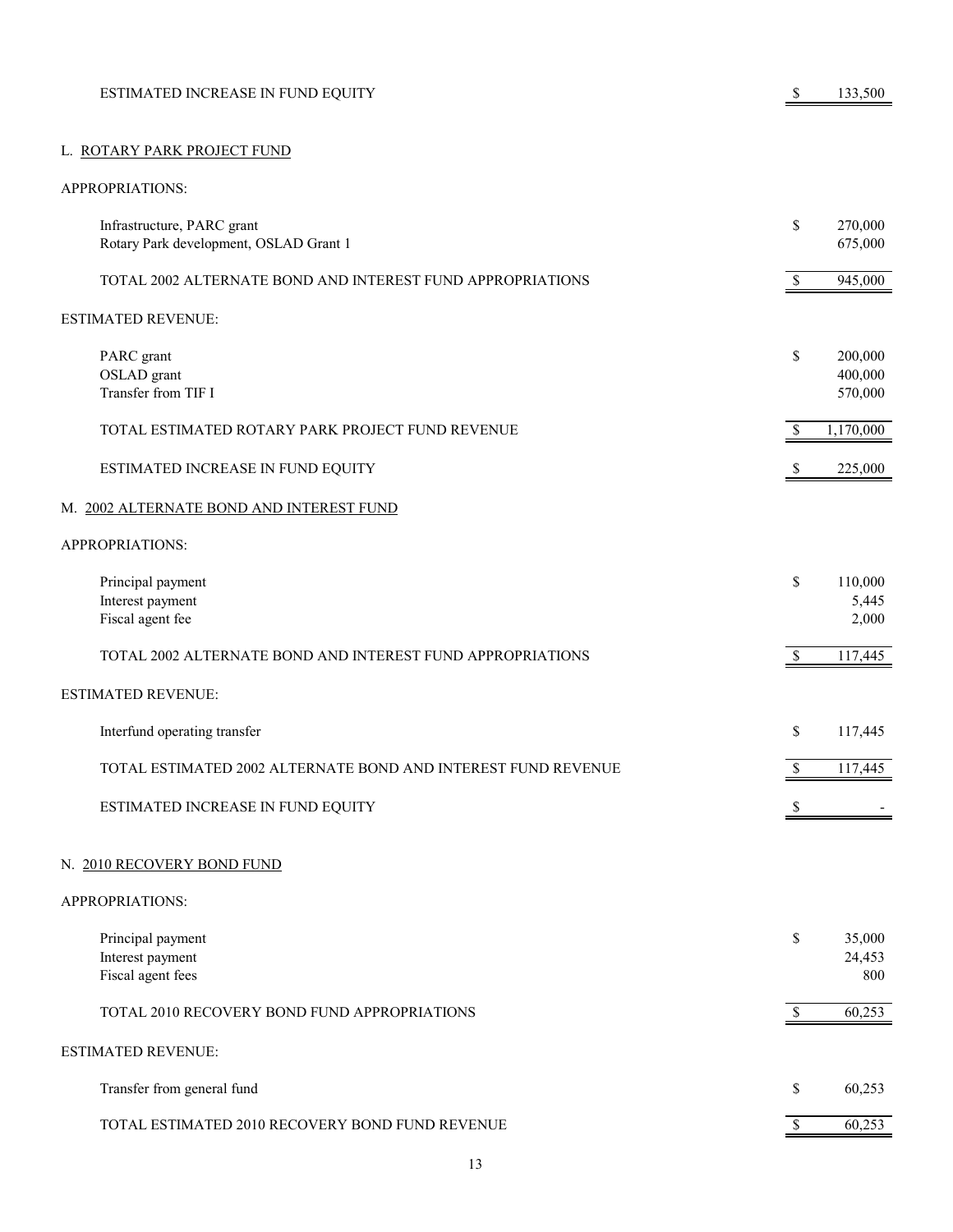| ESTIMATED INCREASE IN FUND EQUITY |  | 133,500 |
|-----------------------------------|--|---------|
|                                   |  |         |

# L. ROTARY PARK PROJECT FUND

| Infrastructure, PARC grant<br>Rotary Park development, OSLAD Grant 1 | \$           | 270,000<br>675,000            |
|----------------------------------------------------------------------|--------------|-------------------------------|
| TOTAL 2002 ALTERNATE BOND AND INTEREST FUND APPROPRIATIONS           | \$           | 945,000                       |
| <b>ESTIMATED REVENUE:</b>                                            |              |                               |
| PARC grant<br>OSLAD grant<br>Transfer from TIF I                     | \$           | 200,000<br>400,000<br>570,000 |
| TOTAL ESTIMATED ROTARY PARK PROJECT FUND REVENUE                     | \$           | 1,170,000                     |
| ESTIMATED INCREASE IN FUND EQUITY                                    | \$           | 225,000                       |
| M. 2002 ALTERNATE BOND AND INTEREST FUND                             |              |                               |
| APPROPRIATIONS:                                                      |              |                               |
| Principal payment<br>Interest payment<br>Fiscal agent fee            | \$           | 110,000<br>5,445<br>2,000     |
| TOTAL 2002 ALTERNATE BOND AND INTEREST FUND APPROPRIATIONS           | $\mathbb S$  | 117,445                       |
| <b>ESTIMATED REVENUE:</b>                                            |              |                               |
| Interfund operating transfer                                         | \$           | 117,445                       |
| TOTAL ESTIMATED 2002 ALTERNATE BOND AND INTEREST FUND REVENUE        | $\mathbb S$  | 117,445                       |
| ESTIMATED INCREASE IN FUND EQUITY                                    |              |                               |
| N. 2010 RECOVERY BOND FUND                                           |              |                               |
| APPROPRIATIONS:                                                      |              |                               |
| Principal payment<br>Interest payment<br>Fiscal agent fees           | \$           | 35,000<br>24,453<br>800       |
| TOTAL 2010 RECOVERY BOND FUND APPROPRIATIONS                         | $\mathbb{S}$ | 60,253                        |
| <b>ESTIMATED REVENUE:</b>                                            |              |                               |
| Transfer from general fund                                           | \$           | 60,253                        |
| TOTAL ESTIMATED 2010 RECOVERY BOND FUND REVENUE                      | $\mathbb{S}$ | 60,253                        |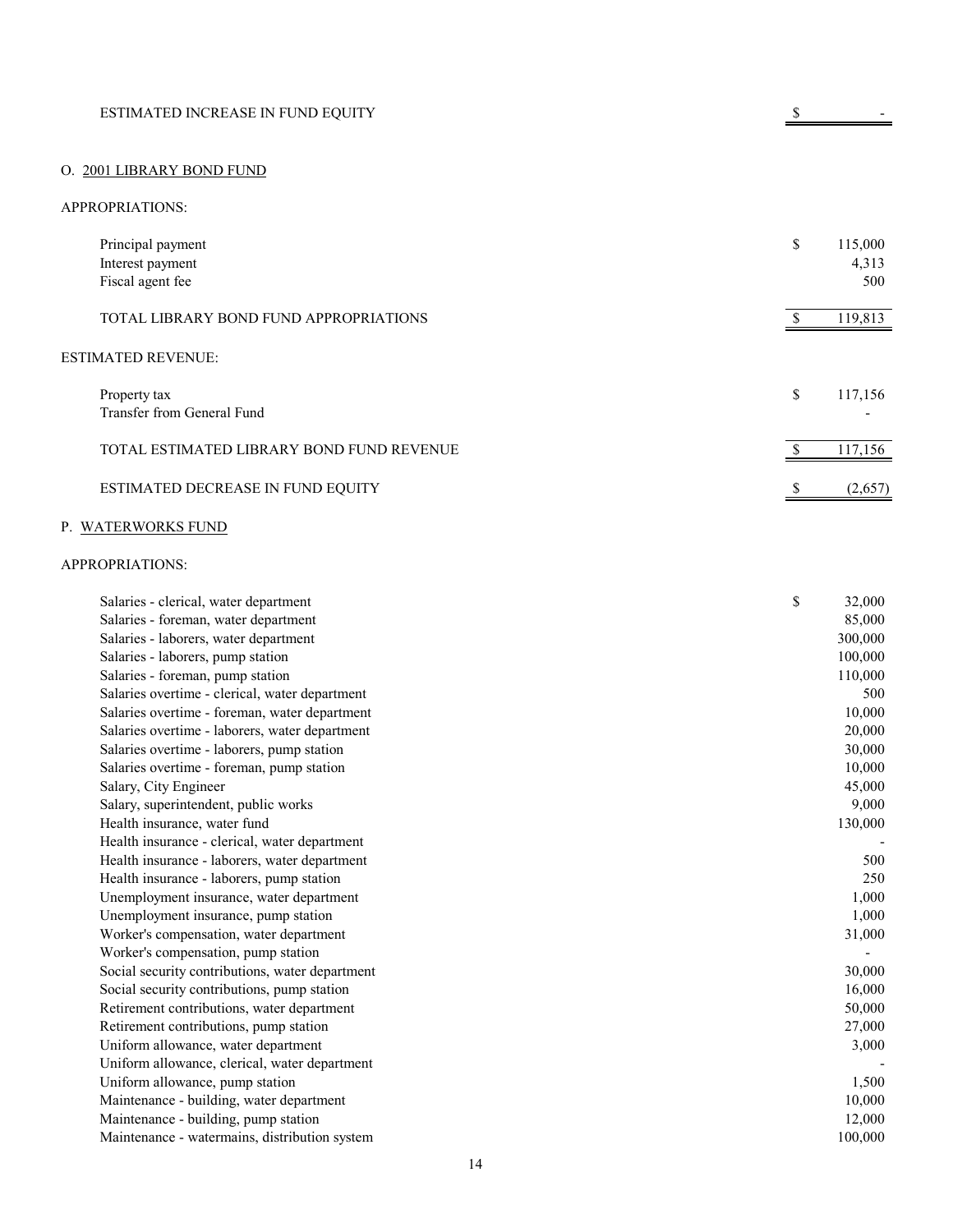# O. 2001 LIBRARY BOND FUND

#### APPROPRIATIONS:

| Principal payment<br>Interest payment<br>Fiscal agent fee | \$<br>115,000<br>4,313<br>500 |
|-----------------------------------------------------------|-------------------------------|
| TOTAL LIBRARY BOND FUND APPROPRIATIONS                    | 119,813                       |
| <b>ESTIMATED REVENUE:</b>                                 |                               |
| Property tax<br>Transfer from General Fund                | \$<br>117,156                 |
| TOTAL ESTIMATED LIBRARY BOND FUND REVENUE                 | 117,156                       |
| ESTIMATED DECREASE IN FUND EQUITY                         | \$<br>(2,657)                 |

# P. WATERWORKS FUND

| Salaries - clerical, water department           | \$<br>32,000 |
|-------------------------------------------------|--------------|
| Salaries - foreman, water department            | 85,000       |
| Salaries - laborers, water department           | 300,000      |
| Salaries - laborers, pump station               | 100,000      |
| Salaries - foreman, pump station                | 110,000      |
| Salaries overtime - clerical, water department  | 500          |
| Salaries overtime - foreman, water department   | 10,000       |
| Salaries overtime - laborers, water department  | 20,000       |
| Salaries overtime - laborers, pump station      | 30,000       |
| Salaries overtime - foreman, pump station       | 10,000       |
| Salary, City Engineer                           | 45,000       |
| Salary, superintendent, public works            | 9,000        |
| Health insurance, water fund                    | 130,000      |
| Health insurance - clerical, water department   |              |
| Health insurance - laborers, water department   | 500          |
| Health insurance - laborers, pump station       | 250          |
| Unemployment insurance, water department        | 1,000        |
| Unemployment insurance, pump station            | 1,000        |
| Worker's compensation, water department         | 31,000       |
| Worker's compensation, pump station             |              |
| Social security contributions, water department | 30,000       |
| Social security contributions, pump station     | 16,000       |
| Retirement contributions, water department      | 50,000       |
| Retirement contributions, pump station          | 27,000       |
| Uniform allowance, water department             | 3,000        |
| Uniform allowance, clerical, water department   |              |
| Uniform allowance, pump station                 | 1,500        |
| Maintenance - building, water department        | 10,000       |
| Maintenance - building, pump station            | 12,000       |
| Maintenance - watermains, distribution system   | 100,000      |
|                                                 |              |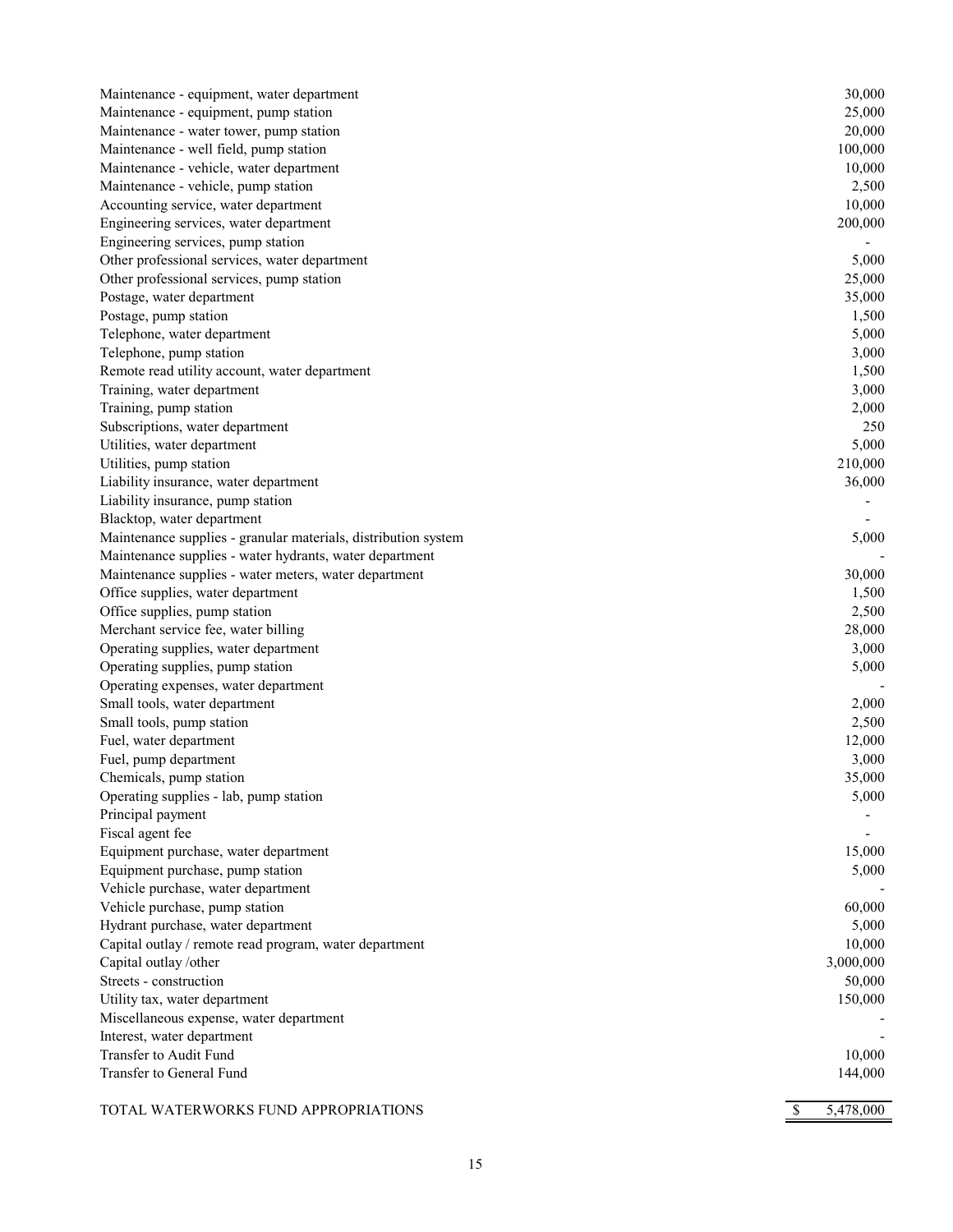| Maintenance - equipment, water department                      | 30,000    |
|----------------------------------------------------------------|-----------|
| Maintenance - equipment, pump station                          | 25,000    |
| Maintenance - water tower, pump station                        | 20,000    |
| Maintenance - well field, pump station                         | 100,000   |
| Maintenance - vehicle, water department                        | 10,000    |
| Maintenance - vehicle, pump station                            | 2,500     |
| Accounting service, water department                           | 10,000    |
| Engineering services, water department                         | 200,000   |
| Engineering services, pump station                             |           |
| Other professional services, water department                  | 5,000     |
| Other professional services, pump station                      | 25,000    |
| Postage, water department                                      | 35,000    |
| Postage, pump station                                          | 1,500     |
| Telephone, water department                                    | 5,000     |
| Telephone, pump station                                        | 3,000     |
| Remote read utility account, water department                  | 1,500     |
| Training, water department                                     | 3,000     |
| Training, pump station                                         | 2,000     |
| Subscriptions, water department                                | 250       |
| Utilities, water department                                    | 5,000     |
| Utilities, pump station                                        | 210,000   |
| Liability insurance, water department                          | 36,000    |
| Liability insurance, pump station                              |           |
| Blacktop, water department                                     |           |
| Maintenance supplies - granular materials, distribution system | 5,000     |
| Maintenance supplies - water hydrants, water department        |           |
| Maintenance supplies - water meters, water department          | 30,000    |
| Office supplies, water department                              | 1,500     |
| Office supplies, pump station                                  | 2,500     |
| Merchant service fee, water billing                            | 28,000    |
| Operating supplies, water department                           | 3,000     |
| Operating supplies, pump station                               | 5,000     |
| Operating expenses, water department                           |           |
| Small tools, water department                                  | 2,000     |
| Small tools, pump station                                      | 2,500     |
| Fuel, water department                                         | 12,000    |
| Fuel, pump department                                          | 3,000     |
| Chemicals, pump station                                        | 35,000    |
| Operating supplies - lab, pump station                         | 5,000     |
| Principal payment                                              |           |
| Fiscal agent fee                                               |           |
| Equipment purchase, water department                           | 15,000    |
| Equipment purchase, pump station                               | 5,000     |
| Vehicle purchase, water department                             |           |
| Vehicle purchase, pump station                                 | 60,000    |
| Hydrant purchase, water department                             | 5,000     |
| Capital outlay / remote read program, water department         | 10,000    |
| Capital outlay /other                                          | 3,000,000 |
| Streets - construction                                         | 50,000    |
| Utility tax, water department                                  | 150,000   |
| Miscellaneous expense, water department                        |           |
| Interest, water department                                     |           |
| Transfer to Audit Fund                                         | 10,000    |
| Transfer to General Fund                                       | 144,000   |
|                                                                |           |

 $$5,478,000$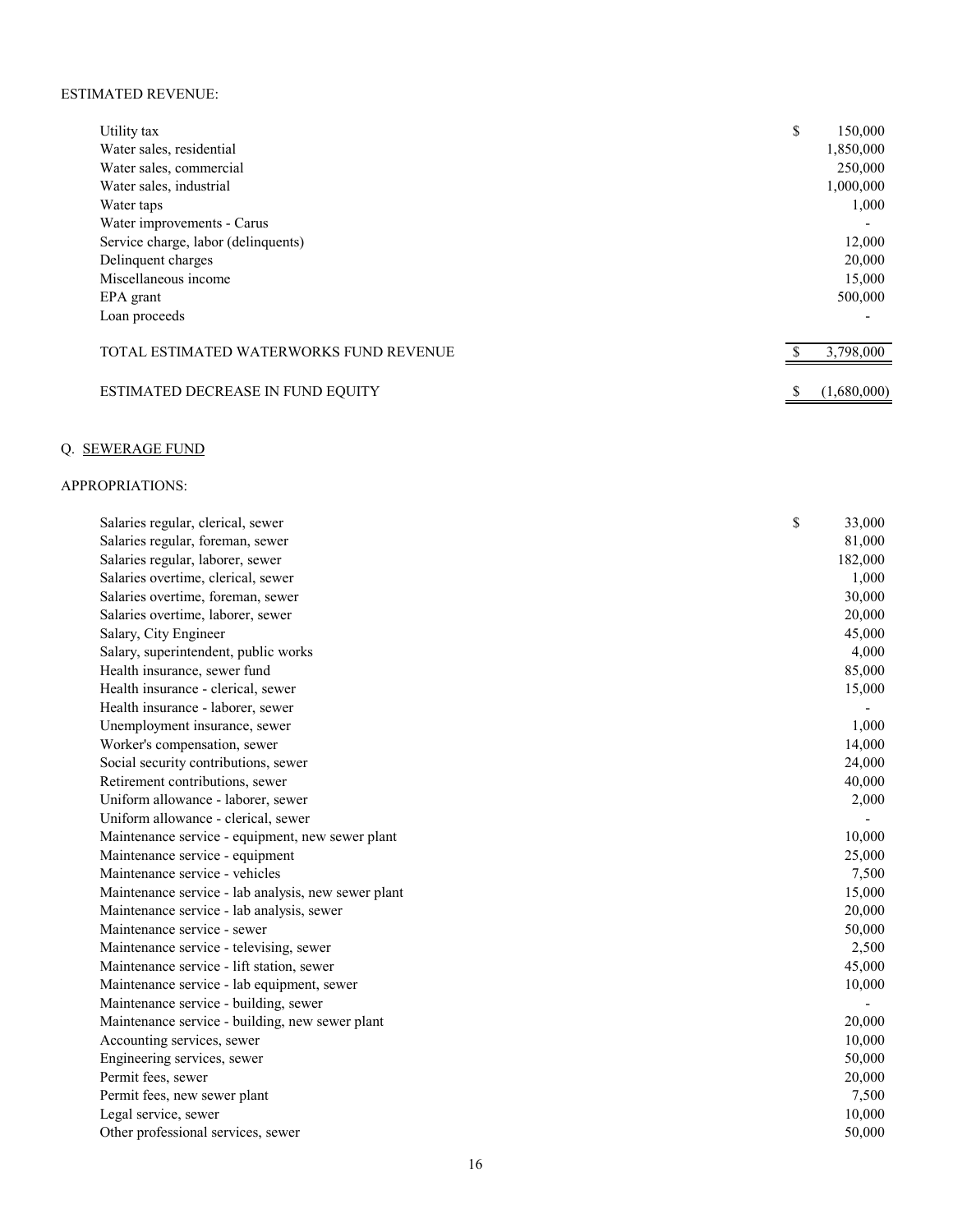#### ESTIMATED REVENUE:

| Utility tax                             | \$<br>150,000 |
|-----------------------------------------|---------------|
| Water sales, residential                | 1,850,000     |
| Water sales, commercial                 | 250,000       |
| Water sales, industrial                 | 1,000,000     |
| Water taps                              | 1,000         |
| Water improvements - Carus              |               |
| Service charge, labor (delinquents)     | 12,000        |
| Delinquent charges                      | 20,000        |
| Miscellaneous income                    | 15,000        |
| EPA grant                               | 500,000       |
| Loan proceeds                           |               |
|                                         |               |
| TOTAL ESTIMATED WATERWORKS FUND REVENUE | 3,798,000     |
|                                         |               |
| ESTIMATED DECREASE IN FUND EQUITY       | (1,680,000)   |

# Q. SEWERAGE FUND

| Salaries regular, foreman, sewer<br>81,000<br>Salaries regular, laborer, sewer<br>182,000<br>Salaries overtime, clerical, sewer<br>1,000<br>30,000<br>Salaries overtime, foreman, sewer<br>Salaries overtime, laborer, sewer<br>20,000<br>Salary, City Engineer<br>45,000<br>4,000<br>Salary, superintendent, public works<br>Health insurance, sewer fund<br>85,000<br>Health insurance - clerical, sewer<br>15,000<br>Health insurance - laborer, sewer<br>1,000<br>Unemployment insurance, sewer<br>Worker's compensation, sewer<br>14,000<br>Social security contributions, sewer<br>24,000<br>Retirement contributions, sewer<br>40,000<br>Uniform allowance - laborer, sewer<br>2,000<br>Uniform allowance - clerical, sewer<br>Maintenance service - equipment, new sewer plant<br>10,000<br>25,000<br>Maintenance service - equipment<br>Maintenance service - vehicles<br>7,500<br>Maintenance service - lab analysis, new sewer plant<br>15,000<br>20,000<br>Maintenance service - lab analysis, sewer<br>Maintenance service - sewer<br>50,000<br>2,500<br>Maintenance service - televising, sewer<br>Maintenance service - lift station, sewer<br>45,000<br>10,000<br>Maintenance service - lab equipment, sewer<br>Maintenance service - building, sewer<br>20,000<br>Maintenance service - building, new sewer plant<br>Accounting services, sewer<br>10,000<br>50,000<br>Engineering services, sewer<br>Permit fees, sewer<br>20,000<br>7,500<br>Permit fees, new sewer plant<br>Legal service, sewer<br>10,000<br>Other professional services, sewer<br>50,000 | Salaries regular, clerical, sewer | \$<br>33,000 |
|--------------------------------------------------------------------------------------------------------------------------------------------------------------------------------------------------------------------------------------------------------------------------------------------------------------------------------------------------------------------------------------------------------------------------------------------------------------------------------------------------------------------------------------------------------------------------------------------------------------------------------------------------------------------------------------------------------------------------------------------------------------------------------------------------------------------------------------------------------------------------------------------------------------------------------------------------------------------------------------------------------------------------------------------------------------------------------------------------------------------------------------------------------------------------------------------------------------------------------------------------------------------------------------------------------------------------------------------------------------------------------------------------------------------------------------------------------------------------------------------------------------------------------------------------------------------------------|-----------------------------------|--------------|
|                                                                                                                                                                                                                                                                                                                                                                                                                                                                                                                                                                                                                                                                                                                                                                                                                                                                                                                                                                                                                                                                                                                                                                                                                                                                                                                                                                                                                                                                                                                                                                                |                                   |              |
|                                                                                                                                                                                                                                                                                                                                                                                                                                                                                                                                                                                                                                                                                                                                                                                                                                                                                                                                                                                                                                                                                                                                                                                                                                                                                                                                                                                                                                                                                                                                                                                |                                   |              |
|                                                                                                                                                                                                                                                                                                                                                                                                                                                                                                                                                                                                                                                                                                                                                                                                                                                                                                                                                                                                                                                                                                                                                                                                                                                                                                                                                                                                                                                                                                                                                                                |                                   |              |
|                                                                                                                                                                                                                                                                                                                                                                                                                                                                                                                                                                                                                                                                                                                                                                                                                                                                                                                                                                                                                                                                                                                                                                                                                                                                                                                                                                                                                                                                                                                                                                                |                                   |              |
|                                                                                                                                                                                                                                                                                                                                                                                                                                                                                                                                                                                                                                                                                                                                                                                                                                                                                                                                                                                                                                                                                                                                                                                                                                                                                                                                                                                                                                                                                                                                                                                |                                   |              |
|                                                                                                                                                                                                                                                                                                                                                                                                                                                                                                                                                                                                                                                                                                                                                                                                                                                                                                                                                                                                                                                                                                                                                                                                                                                                                                                                                                                                                                                                                                                                                                                |                                   |              |
|                                                                                                                                                                                                                                                                                                                                                                                                                                                                                                                                                                                                                                                                                                                                                                                                                                                                                                                                                                                                                                                                                                                                                                                                                                                                                                                                                                                                                                                                                                                                                                                |                                   |              |
|                                                                                                                                                                                                                                                                                                                                                                                                                                                                                                                                                                                                                                                                                                                                                                                                                                                                                                                                                                                                                                                                                                                                                                                                                                                                                                                                                                                                                                                                                                                                                                                |                                   |              |
|                                                                                                                                                                                                                                                                                                                                                                                                                                                                                                                                                                                                                                                                                                                                                                                                                                                                                                                                                                                                                                                                                                                                                                                                                                                                                                                                                                                                                                                                                                                                                                                |                                   |              |
|                                                                                                                                                                                                                                                                                                                                                                                                                                                                                                                                                                                                                                                                                                                                                                                                                                                                                                                                                                                                                                                                                                                                                                                                                                                                                                                                                                                                                                                                                                                                                                                |                                   |              |
|                                                                                                                                                                                                                                                                                                                                                                                                                                                                                                                                                                                                                                                                                                                                                                                                                                                                                                                                                                                                                                                                                                                                                                                                                                                                                                                                                                                                                                                                                                                                                                                |                                   |              |
|                                                                                                                                                                                                                                                                                                                                                                                                                                                                                                                                                                                                                                                                                                                                                                                                                                                                                                                                                                                                                                                                                                                                                                                                                                                                                                                                                                                                                                                                                                                                                                                |                                   |              |
|                                                                                                                                                                                                                                                                                                                                                                                                                                                                                                                                                                                                                                                                                                                                                                                                                                                                                                                                                                                                                                                                                                                                                                                                                                                                                                                                                                                                                                                                                                                                                                                |                                   |              |
|                                                                                                                                                                                                                                                                                                                                                                                                                                                                                                                                                                                                                                                                                                                                                                                                                                                                                                                                                                                                                                                                                                                                                                                                                                                                                                                                                                                                                                                                                                                                                                                |                                   |              |
|                                                                                                                                                                                                                                                                                                                                                                                                                                                                                                                                                                                                                                                                                                                                                                                                                                                                                                                                                                                                                                                                                                                                                                                                                                                                                                                                                                                                                                                                                                                                                                                |                                   |              |
|                                                                                                                                                                                                                                                                                                                                                                                                                                                                                                                                                                                                                                                                                                                                                                                                                                                                                                                                                                                                                                                                                                                                                                                                                                                                                                                                                                                                                                                                                                                                                                                |                                   |              |
|                                                                                                                                                                                                                                                                                                                                                                                                                                                                                                                                                                                                                                                                                                                                                                                                                                                                                                                                                                                                                                                                                                                                                                                                                                                                                                                                                                                                                                                                                                                                                                                |                                   |              |
|                                                                                                                                                                                                                                                                                                                                                                                                                                                                                                                                                                                                                                                                                                                                                                                                                                                                                                                                                                                                                                                                                                                                                                                                                                                                                                                                                                                                                                                                                                                                                                                |                                   |              |
|                                                                                                                                                                                                                                                                                                                                                                                                                                                                                                                                                                                                                                                                                                                                                                                                                                                                                                                                                                                                                                                                                                                                                                                                                                                                                                                                                                                                                                                                                                                                                                                |                                   |              |
|                                                                                                                                                                                                                                                                                                                                                                                                                                                                                                                                                                                                                                                                                                                                                                                                                                                                                                                                                                                                                                                                                                                                                                                                                                                                                                                                                                                                                                                                                                                                                                                |                                   |              |
|                                                                                                                                                                                                                                                                                                                                                                                                                                                                                                                                                                                                                                                                                                                                                                                                                                                                                                                                                                                                                                                                                                                                                                                                                                                                                                                                                                                                                                                                                                                                                                                |                                   |              |
|                                                                                                                                                                                                                                                                                                                                                                                                                                                                                                                                                                                                                                                                                                                                                                                                                                                                                                                                                                                                                                                                                                                                                                                                                                                                                                                                                                                                                                                                                                                                                                                |                                   |              |
|                                                                                                                                                                                                                                                                                                                                                                                                                                                                                                                                                                                                                                                                                                                                                                                                                                                                                                                                                                                                                                                                                                                                                                                                                                                                                                                                                                                                                                                                                                                                                                                |                                   |              |
|                                                                                                                                                                                                                                                                                                                                                                                                                                                                                                                                                                                                                                                                                                                                                                                                                                                                                                                                                                                                                                                                                                                                                                                                                                                                                                                                                                                                                                                                                                                                                                                |                                   |              |
|                                                                                                                                                                                                                                                                                                                                                                                                                                                                                                                                                                                                                                                                                                                                                                                                                                                                                                                                                                                                                                                                                                                                                                                                                                                                                                                                                                                                                                                                                                                                                                                |                                   |              |
|                                                                                                                                                                                                                                                                                                                                                                                                                                                                                                                                                                                                                                                                                                                                                                                                                                                                                                                                                                                                                                                                                                                                                                                                                                                                                                                                                                                                                                                                                                                                                                                |                                   |              |
|                                                                                                                                                                                                                                                                                                                                                                                                                                                                                                                                                                                                                                                                                                                                                                                                                                                                                                                                                                                                                                                                                                                                                                                                                                                                                                                                                                                                                                                                                                                                                                                |                                   |              |
|                                                                                                                                                                                                                                                                                                                                                                                                                                                                                                                                                                                                                                                                                                                                                                                                                                                                                                                                                                                                                                                                                                                                                                                                                                                                                                                                                                                                                                                                                                                                                                                |                                   |              |
|                                                                                                                                                                                                                                                                                                                                                                                                                                                                                                                                                                                                                                                                                                                                                                                                                                                                                                                                                                                                                                                                                                                                                                                                                                                                                                                                                                                                                                                                                                                                                                                |                                   |              |
|                                                                                                                                                                                                                                                                                                                                                                                                                                                                                                                                                                                                                                                                                                                                                                                                                                                                                                                                                                                                                                                                                                                                                                                                                                                                                                                                                                                                                                                                                                                                                                                |                                   |              |
|                                                                                                                                                                                                                                                                                                                                                                                                                                                                                                                                                                                                                                                                                                                                                                                                                                                                                                                                                                                                                                                                                                                                                                                                                                                                                                                                                                                                                                                                                                                                                                                |                                   |              |
|                                                                                                                                                                                                                                                                                                                                                                                                                                                                                                                                                                                                                                                                                                                                                                                                                                                                                                                                                                                                                                                                                                                                                                                                                                                                                                                                                                                                                                                                                                                                                                                |                                   |              |
|                                                                                                                                                                                                                                                                                                                                                                                                                                                                                                                                                                                                                                                                                                                                                                                                                                                                                                                                                                                                                                                                                                                                                                                                                                                                                                                                                                                                                                                                                                                                                                                |                                   |              |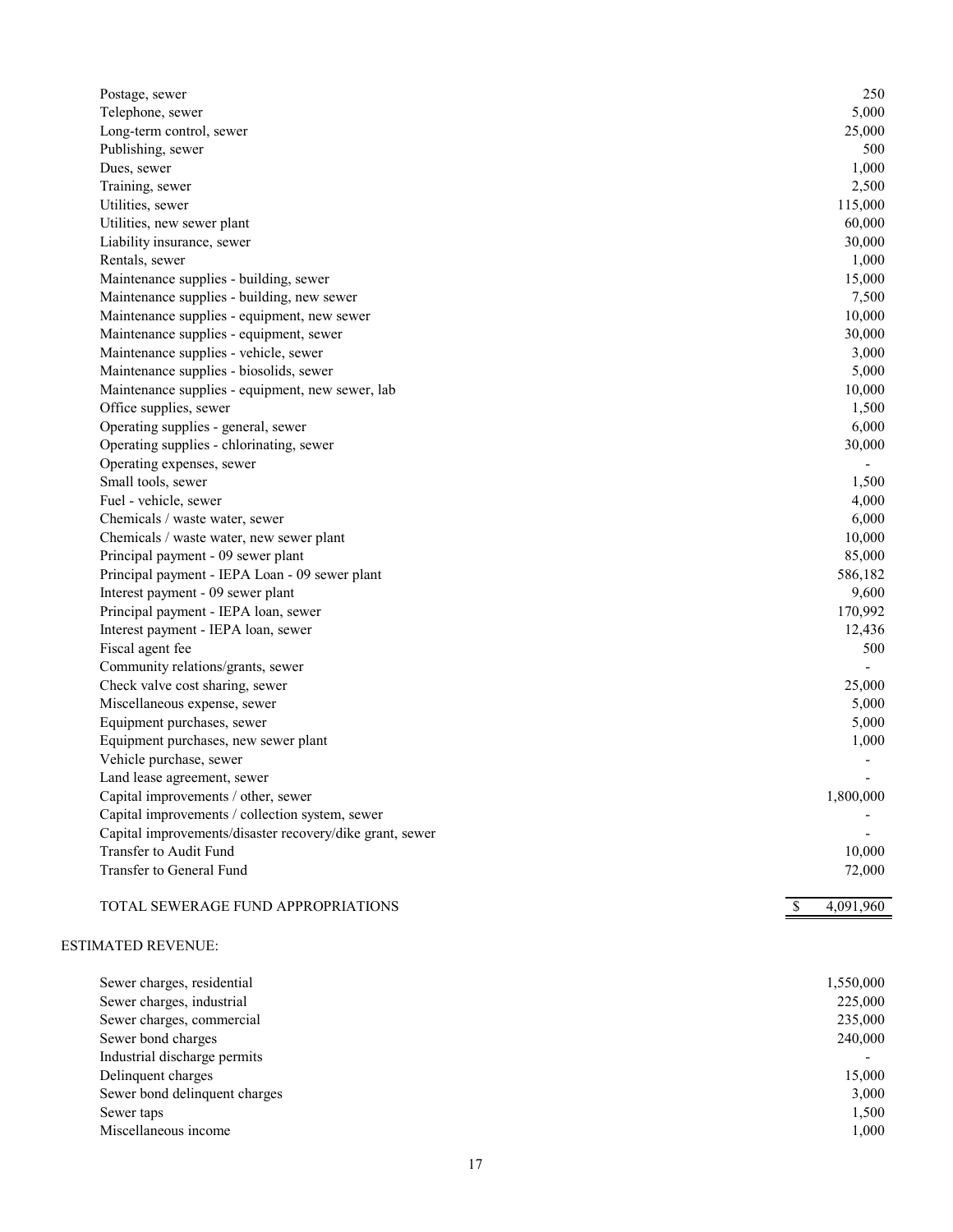| Postage, sewer                                           | 250             |
|----------------------------------------------------------|-----------------|
| Telephone, sewer                                         | 5,000           |
| Long-term control, sewer                                 | 25,000          |
| Publishing, sewer                                        | 500             |
| Dues, sewer                                              | 1,000           |
| Training, sewer                                          | 2,500           |
| Utilities, sewer                                         | 115,000         |
| Utilities, new sewer plant                               | 60,000          |
| Liability insurance, sewer                               | 30,000          |
| Rentals, sewer                                           | 1,000           |
| Maintenance supplies - building, sewer                   | 15,000          |
| Maintenance supplies - building, new sewer               | 7,500           |
| Maintenance supplies - equipment, new sewer              | 10,000          |
| Maintenance supplies - equipment, sewer                  | 30,000          |
| Maintenance supplies - vehicle, sewer                    | 3,000           |
| Maintenance supplies - biosolids, sewer                  | 5,000           |
| Maintenance supplies - equipment, new sewer, lab         | 10,000          |
| Office supplies, sewer                                   | 1,500           |
| Operating supplies - general, sewer                      | 6,000           |
| Operating supplies - chlorinating, sewer                 | 30,000          |
| Operating expenses, sewer                                |                 |
| Small tools, sewer                                       | 1,500           |
| Fuel - vehicle, sewer                                    | 4,000           |
| Chemicals / waste water, sewer                           | 6,000           |
| Chemicals / waste water, new sewer plant                 | 10,000          |
| Principal payment - 09 sewer plant                       | 85,000          |
| Principal payment - IEPA Loan - 09 sewer plant           | 586,182         |
| Interest payment - 09 sewer plant                        | 9,600           |
| Principal payment - IEPA loan, sewer                     | 170,992         |
| Interest payment - IEPA loan, sewer                      | 12,436          |
| Fiscal agent fee                                         | 500             |
| Community relations/grants, sewer                        |                 |
| Check valve cost sharing, sewer                          | 25,000          |
| Miscellaneous expense, sewer                             | 5,000           |
| Equipment purchases, sewer                               | 5,000           |
| Equipment purchases, new sewer plant                     | 1,000           |
| Vehicle purchase, sewer                                  |                 |
| Land lease agreement, sewer                              |                 |
| Capital improvements / other, sewer                      | 1,800,000       |
| Capital improvements / collection system, sewer          |                 |
| Capital improvements/disaster recovery/dike grant, sewer |                 |
| Transfer to Audit Fund                                   | 10,000          |
| Transfer to General Fund                                 | 72,000          |
|                                                          |                 |
| TOTAL SEWERAGE FUND APPROPRIATIONS                       | 4,091,960<br>\$ |

## ESTIMATED REVENUE:

| Sewer charges, residential    | 1,550,000 |
|-------------------------------|-----------|
| Sewer charges, industrial     | 225,000   |
| Sewer charges, commercial     | 235,000   |
| Sewer bond charges            | 240,000   |
| Industrial discharge permits  |           |
| Delinquent charges            | 15,000    |
| Sewer bond delinquent charges | 3,000     |
| Sewer taps                    | 1,500     |
| Miscellaneous income          | 1,000     |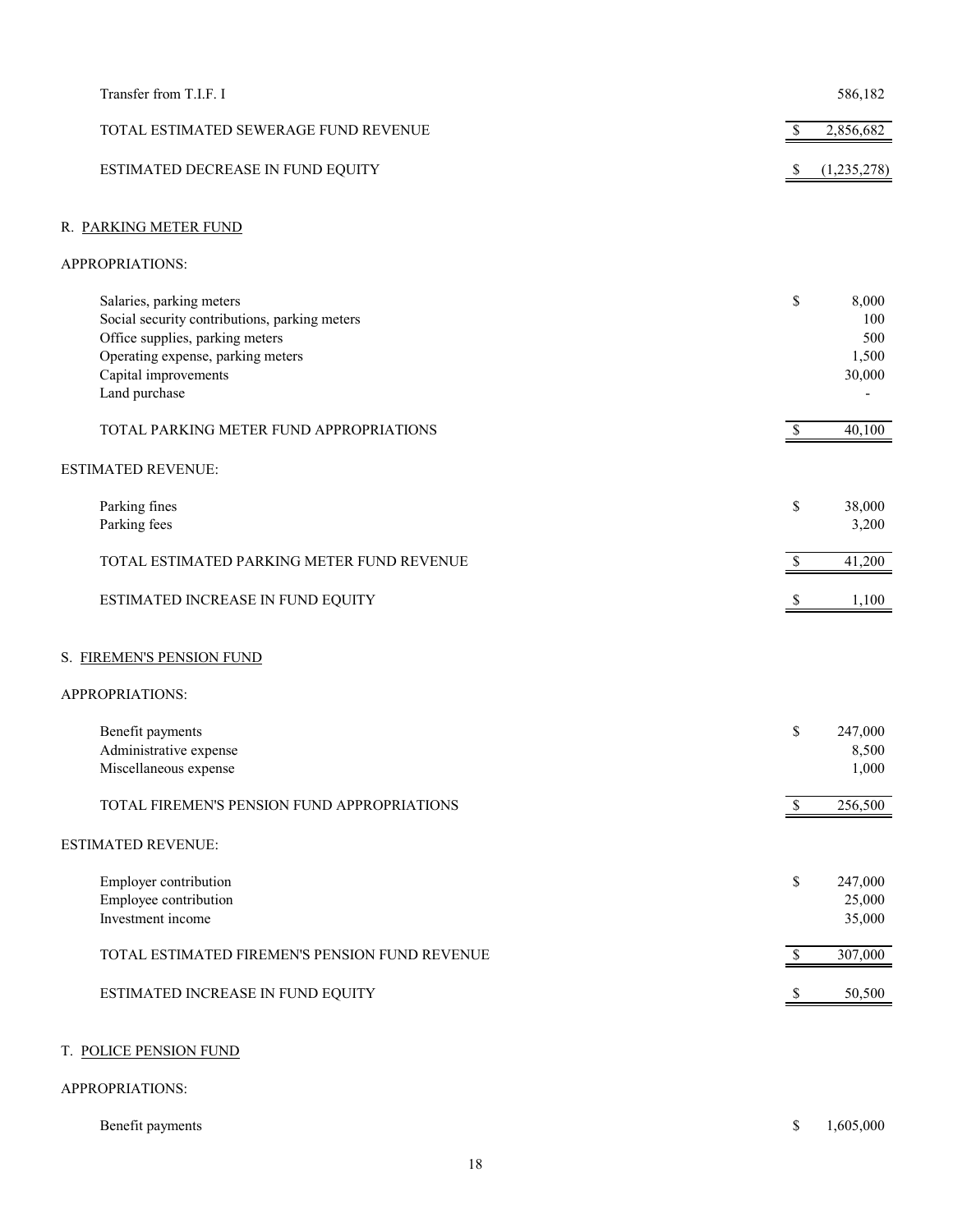| Transfer from T.I.F. I                                                                                                                                                                     |               | 586,182                                |
|--------------------------------------------------------------------------------------------------------------------------------------------------------------------------------------------|---------------|----------------------------------------|
|                                                                                                                                                                                            |               |                                        |
| TOTAL ESTIMATED SEWERAGE FUND REVENUE                                                                                                                                                      | $\mathbb{S}$  | 2,856,682                              |
| ESTIMATED DECREASE IN FUND EQUITY                                                                                                                                                          | <sup>8</sup>  | (1,235,278)                            |
| R. PARKING METER FUND                                                                                                                                                                      |               |                                        |
| APPROPRIATIONS:                                                                                                                                                                            |               |                                        |
| Salaries, parking meters<br>Social security contributions, parking meters<br>Office supplies, parking meters<br>Operating expense, parking meters<br>Capital improvements<br>Land purchase | \$            | 8,000<br>100<br>500<br>1,500<br>30,000 |
| TOTAL PARKING METER FUND APPROPRIATIONS                                                                                                                                                    | $\mathbb{S}$  | 40,100                                 |
| <b>ESTIMATED REVENUE:</b>                                                                                                                                                                  |               |                                        |
| Parking fines<br>Parking fees                                                                                                                                                              | \$            | 38,000<br>3,200                        |
| TOTAL ESTIMATED PARKING METER FUND REVENUE                                                                                                                                                 | <sup>\$</sup> | 41,200                                 |
| ESTIMATED INCREASE IN FUND EQUITY                                                                                                                                                          |               | 1,100                                  |
| S. FIREMEN'S PENSION FUND                                                                                                                                                                  |               |                                        |
| APPROPRIATIONS:                                                                                                                                                                            |               |                                        |
| Benefit payments<br>Administrative expense<br>Miscellaneous expense                                                                                                                        | \$            | 247,000<br>8,500<br>1,000              |
| TOTAL FIREMEN'S PENSION FUND APPROPRIATIONS                                                                                                                                                | S             | 256,500                                |
| <b>ESTIMATED REVENUE:</b>                                                                                                                                                                  |               |                                        |
| Employer contribution<br>Employee contribution<br>Investment income                                                                                                                        | \$            | 247,000<br>25,000<br>35,000            |
| TOTAL ESTIMATED FIREMEN'S PENSION FUND REVENUE                                                                                                                                             | \$            | 307,000                                |
| ESTIMATED INCREASE IN FUND EQUITY                                                                                                                                                          | \$.           | 50,500                                 |
| T. POLICE PENSION FUND                                                                                                                                                                     |               |                                        |
| APPROPRIATIONS:                                                                                                                                                                            |               |                                        |
| Benefit payments                                                                                                                                                                           | \$            | 1,605,000                              |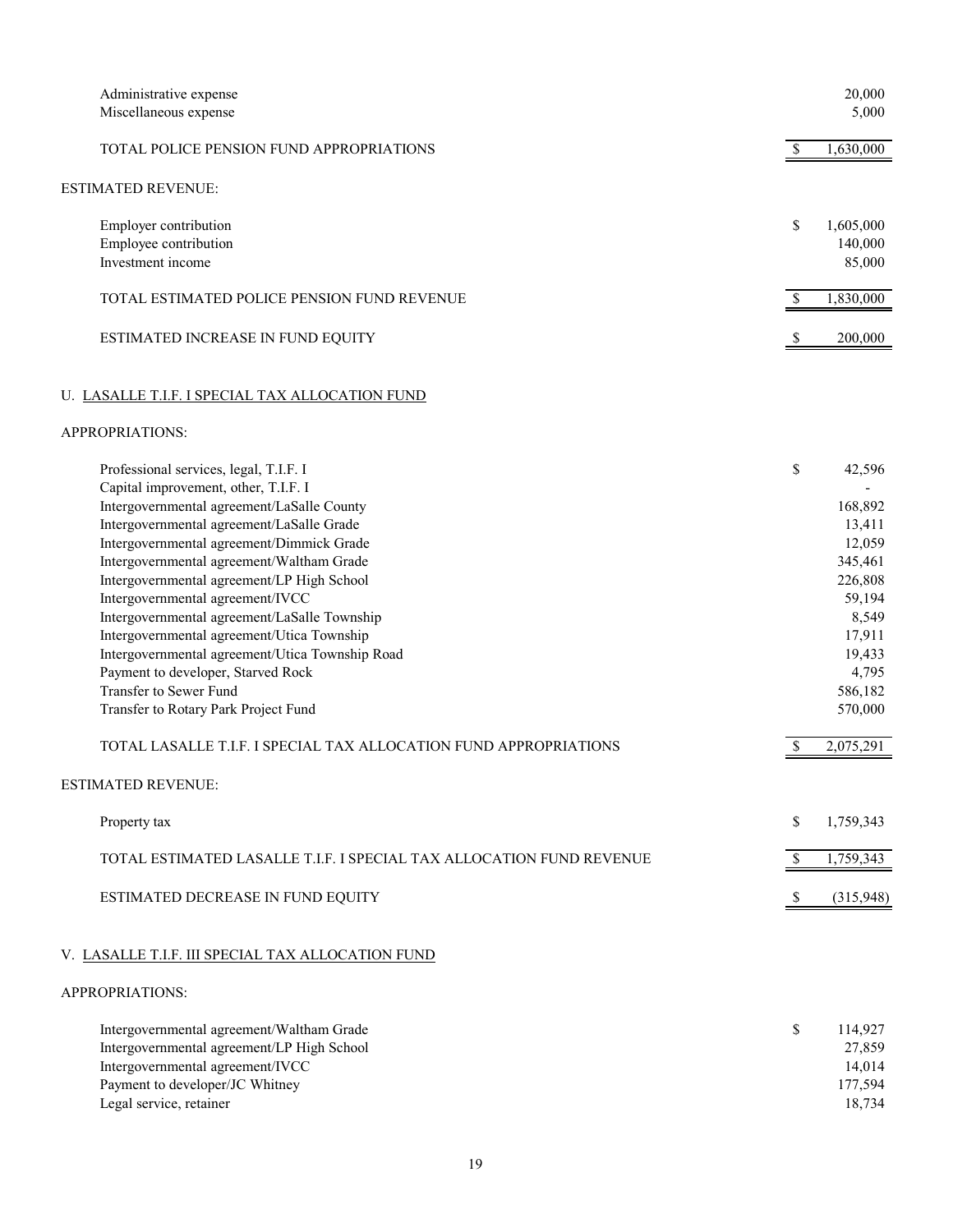| Administrative expense<br>Miscellaneous expense                                                                                                                                                                                                                                                                                                                                                                                                                                                                                                                                                                                |                                            | 20,000<br>5,000                                                                                                                      |
|--------------------------------------------------------------------------------------------------------------------------------------------------------------------------------------------------------------------------------------------------------------------------------------------------------------------------------------------------------------------------------------------------------------------------------------------------------------------------------------------------------------------------------------------------------------------------------------------------------------------------------|--------------------------------------------|--------------------------------------------------------------------------------------------------------------------------------------|
| TOTAL POLICE PENSION FUND APPROPRIATIONS                                                                                                                                                                                                                                                                                                                                                                                                                                                                                                                                                                                       | $\mathcal{S}$                              | 1,630,000                                                                                                                            |
| <b>ESTIMATED REVENUE:</b>                                                                                                                                                                                                                                                                                                                                                                                                                                                                                                                                                                                                      |                                            |                                                                                                                                      |
| Employer contribution<br>Employee contribution<br>Investment income                                                                                                                                                                                                                                                                                                                                                                                                                                                                                                                                                            | \$                                         | 1,605,000<br>140,000<br>85,000                                                                                                       |
| TOTAL ESTIMATED POLICE PENSION FUND REVENUE                                                                                                                                                                                                                                                                                                                                                                                                                                                                                                                                                                                    | $\overline{\mathcal{S}}$                   | 1,830,000                                                                                                                            |
| ESTIMATED INCREASE IN FUND EQUITY                                                                                                                                                                                                                                                                                                                                                                                                                                                                                                                                                                                              | S                                          | 200,000                                                                                                                              |
| U. LASALLE T.I.F. I SPECIAL TAX ALLOCATION FUND                                                                                                                                                                                                                                                                                                                                                                                                                                                                                                                                                                                |                                            |                                                                                                                                      |
| APPROPRIATIONS:                                                                                                                                                                                                                                                                                                                                                                                                                                                                                                                                                                                                                |                                            |                                                                                                                                      |
| Professional services, legal, T.I.F. I<br>Capital improvement, other, T.I.F. I                                                                                                                                                                                                                                                                                                                                                                                                                                                                                                                                                 | \$                                         | 42,596                                                                                                                               |
| Intergovernmental agreement/LaSalle County<br>Intergovernmental agreement/LaSalle Grade<br>Intergovernmental agreement/Dimmick Grade<br>Intergovernmental agreement/Waltham Grade<br>Intergovernmental agreement/LP High School<br>Intergovernmental agreement/IVCC<br>Intergovernmental agreement/LaSalle Township<br>Intergovernmental agreement/Utica Township<br>Intergovernmental agreement/Utica Township Road<br>Payment to developer, Starved Rock<br>Transfer to Sewer Fund<br>Transfer to Rotary Park Project Fund<br>TOTAL LASALLE T.I.F. I SPECIAL TAX ALLOCATION FUND APPROPRIATIONS<br><b>ESTIMATED REVENUE:</b> | S                                          | 168,892<br>13,411<br>12,059<br>345,461<br>226,808<br>59,194<br>8,549<br>17,911<br>19,433<br>4,795<br>586,182<br>570,000<br>2,075,291 |
| Property tax                                                                                                                                                                                                                                                                                                                                                                                                                                                                                                                                                                                                                   | \$                                         | 1,759,343                                                                                                                            |
| TOTAL ESTIMATED LASALLE T.I.F. I SPECIAL TAX ALLOCATION FUND REVENUE<br>ESTIMATED DECREASE IN FUND EQUITY                                                                                                                                                                                                                                                                                                                                                                                                                                                                                                                      | $\mathcal{S}$<br>$\boldsymbol{\mathsf{S}}$ | 1,759,343<br>(315,948)                                                                                                               |
| V. LASALLE T.I.F. III SPECIAL TAX ALLOCATION FUND                                                                                                                                                                                                                                                                                                                                                                                                                                                                                                                                                                              |                                            |                                                                                                                                      |
| APPROPRIATIONS:                                                                                                                                                                                                                                                                                                                                                                                                                                                                                                                                                                                                                |                                            |                                                                                                                                      |
| Intergovernmental agreement/Waltham Grade<br>Intergovernmental agreement/LP High School<br>Intergovernmental agreement/IVCC<br>Payment to developer/JC Whitney<br>Legal service, retainer                                                                                                                                                                                                                                                                                                                                                                                                                                      | \$                                         | 114,927<br>27,859<br>14,014<br>177,594<br>18,734                                                                                     |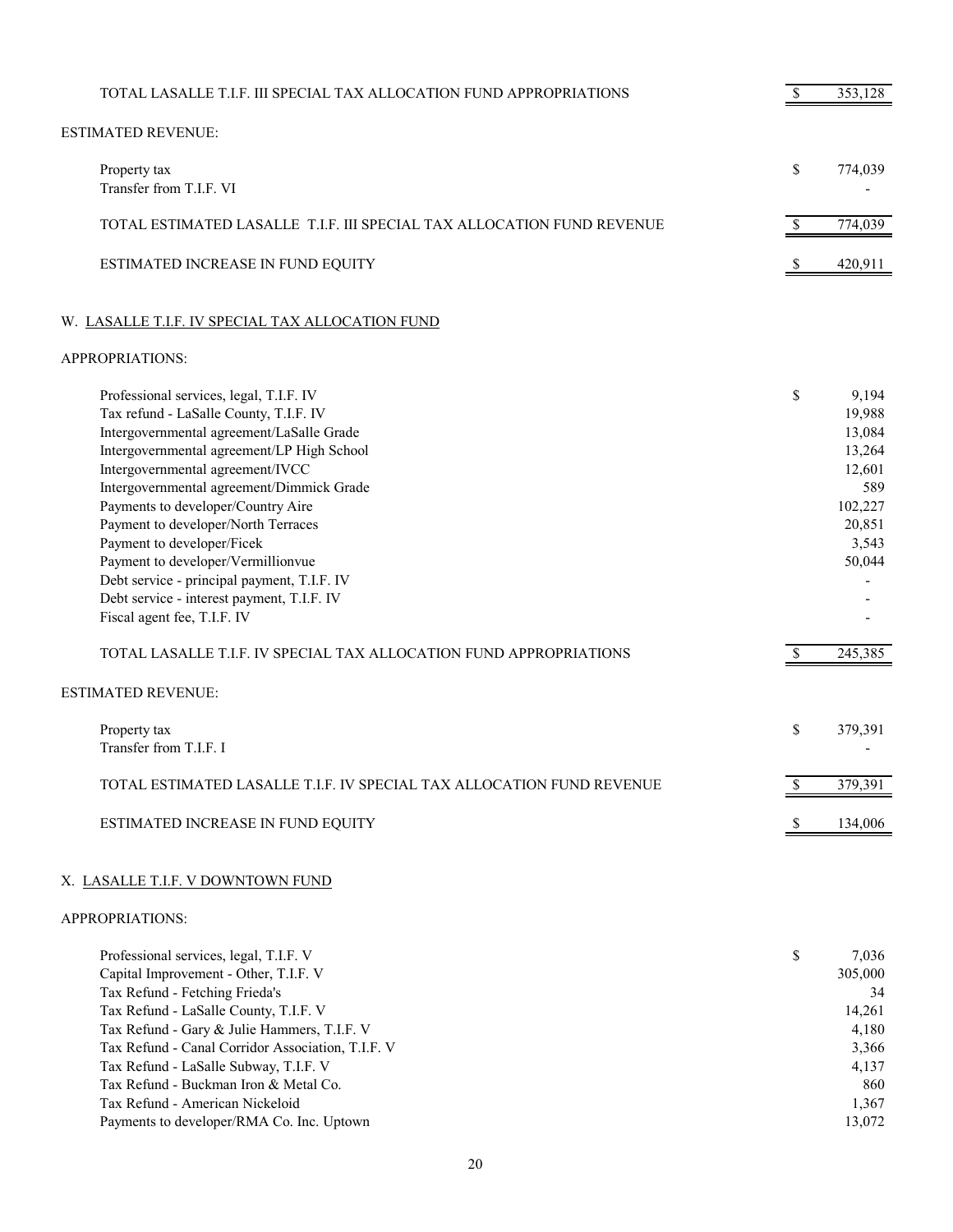| TOTAL LASALLE T.I.F. III SPECIAL TAX ALLOCATION FUND APPROPRIATIONS                                                                                                                                                                                                                                                                                                                                                                                                                                                                                                                                              |              | 353,128                                                                                                 |
|------------------------------------------------------------------------------------------------------------------------------------------------------------------------------------------------------------------------------------------------------------------------------------------------------------------------------------------------------------------------------------------------------------------------------------------------------------------------------------------------------------------------------------------------------------------------------------------------------------------|--------------|---------------------------------------------------------------------------------------------------------|
| <b>ESTIMATED REVENUE:</b>                                                                                                                                                                                                                                                                                                                                                                                                                                                                                                                                                                                        |              |                                                                                                         |
| Property tax<br>Transfer from T.I.F. VI                                                                                                                                                                                                                                                                                                                                                                                                                                                                                                                                                                          | \$           | 774,039                                                                                                 |
| TOTAL ESTIMATED LASALLE T.I.F. III SPECIAL TAX ALLOCATION FUND REVENUE                                                                                                                                                                                                                                                                                                                                                                                                                                                                                                                                           | $\mathbb{S}$ | 774,039                                                                                                 |
| ESTIMATED INCREASE IN FUND EQUITY                                                                                                                                                                                                                                                                                                                                                                                                                                                                                                                                                                                | \$           | 420,911                                                                                                 |
| W. LASALLE T.I.F. IV SPECIAL TAX ALLOCATION FUND                                                                                                                                                                                                                                                                                                                                                                                                                                                                                                                                                                 |              |                                                                                                         |
| APPROPRIATIONS:                                                                                                                                                                                                                                                                                                                                                                                                                                                                                                                                                                                                  |              |                                                                                                         |
| Professional services, legal, T.I.F. IV<br>Tax refund - LaSalle County, T.I.F. IV<br>Intergovernmental agreement/LaSalle Grade<br>Intergovernmental agreement/LP High School<br>Intergovernmental agreement/IVCC<br>Intergovernmental agreement/Dimmick Grade<br>Payments to developer/Country Aire<br>Payment to developer/North Terraces<br>Payment to developer/Ficek<br>Payment to developer/Vermillionvue<br>Debt service - principal payment, T.I.F. IV<br>Debt service - interest payment, T.I.F. IV<br>Fiscal agent fee, T.I.F. IV<br>TOTAL LASALLE T.I.F. IV SPECIAL TAX ALLOCATION FUND APPROPRIATIONS | \$<br>\$     | 9,194<br>19,988<br>13,084<br>13,264<br>12,601<br>589<br>102,227<br>20,851<br>3,543<br>50,044<br>245,385 |
| <b>ESTIMATED REVENUE:</b>                                                                                                                                                                                                                                                                                                                                                                                                                                                                                                                                                                                        |              |                                                                                                         |
| Property tax<br>Transfer from T.I.F. I                                                                                                                                                                                                                                                                                                                                                                                                                                                                                                                                                                           | \$           | 379,391                                                                                                 |
| TOTAL ESTIMATED LASALLE T.I.F. IV SPECIAL TAX ALLOCATION FUND REVENUE                                                                                                                                                                                                                                                                                                                                                                                                                                                                                                                                            | \$           | 379,391                                                                                                 |
| ESTIMATED INCREASE IN FUND EQUITY                                                                                                                                                                                                                                                                                                                                                                                                                                                                                                                                                                                | \$           | 134,006                                                                                                 |
| X. LASALLE T.I.F. V DOWNTOWN FUND                                                                                                                                                                                                                                                                                                                                                                                                                                                                                                                                                                                |              |                                                                                                         |
| APPROPRIATIONS:                                                                                                                                                                                                                                                                                                                                                                                                                                                                                                                                                                                                  |              |                                                                                                         |
| Professional services, legal, T.I.F. V<br>Capital Improvement - Other, T.I.F. V<br>Tax Refund - Fetching Frieda's<br>Tax Refund - LaSalle County, T.I.F. V<br>Tax Refund - Gary & Julie Hammers, T.I.F. V                                                                                                                                                                                                                                                                                                                                                                                                        | \$           | 7,036<br>305,000<br>34<br>14,261<br>4,180                                                               |

- Tax Refund Canal Corridor Association, T.I.F. V 3,366 Tax Refund - LaSalle Subway, T.I.F. V 4,137
- Tax Refund Buckman Iron & Metal Co. 860 Tax Refund - American Nickeloid 1,367
- Payments to developer/RMA Co. Inc. Uptown 13,072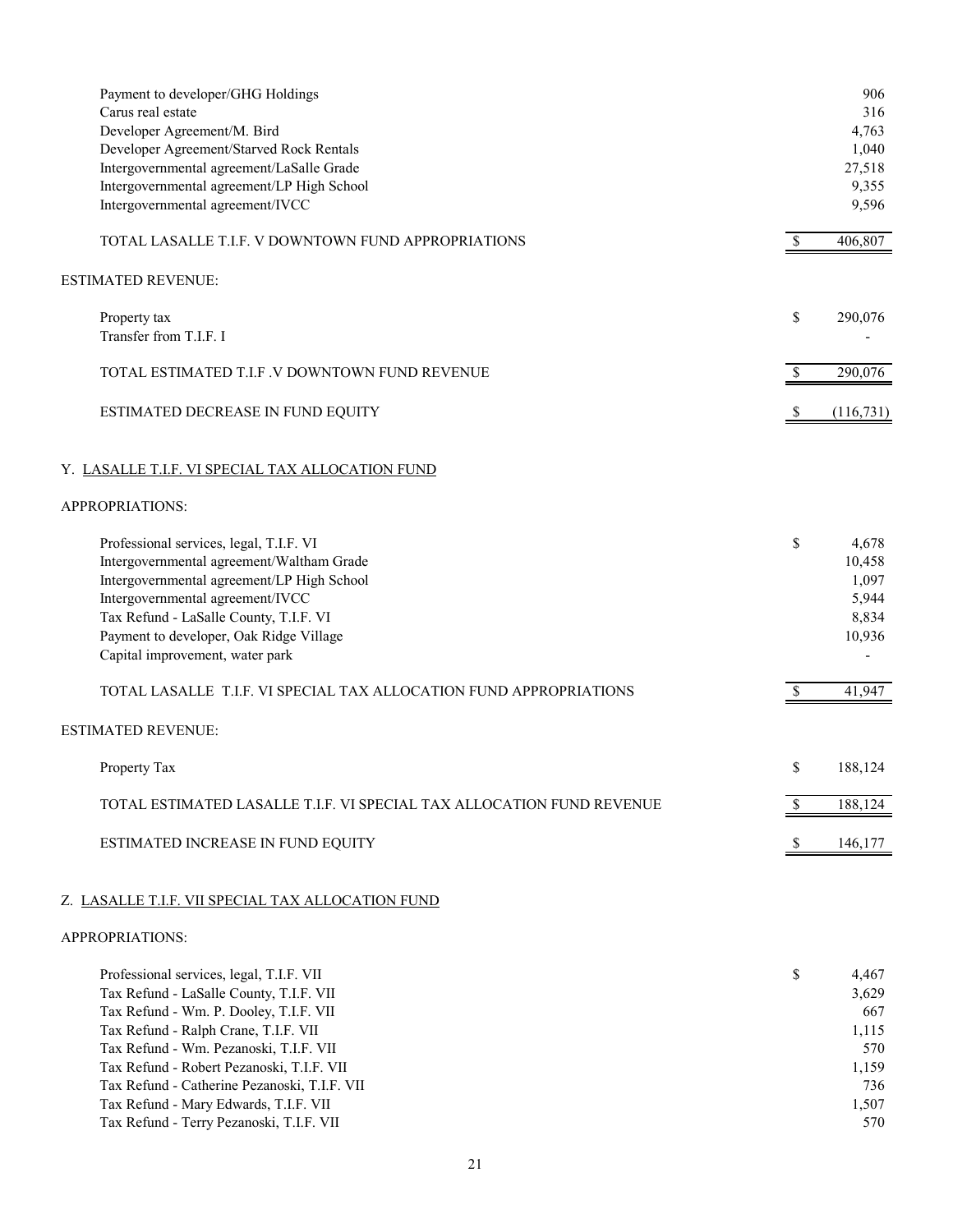| Payment to developer/GHG Holdings<br>Carus real estate<br>Developer Agreement/M. Bird<br>Developer Agreement/Starved Rock Rentals<br>Intergovernmental agreement/LaSalle Grade<br>Intergovernmental agreement/LP High School<br>Intergovernmental agreement/IVCC                                                                                                                                  |               | 906<br>316<br>4,763<br>1,040<br>27,518<br>9,355<br>9,596              |
|---------------------------------------------------------------------------------------------------------------------------------------------------------------------------------------------------------------------------------------------------------------------------------------------------------------------------------------------------------------------------------------------------|---------------|-----------------------------------------------------------------------|
| TOTAL LASALLE T.I.F. V DOWNTOWN FUND APPROPRIATIONS                                                                                                                                                                                                                                                                                                                                               | <sup>\$</sup> | 406,807                                                               |
| <b>ESTIMATED REVENUE:</b>                                                                                                                                                                                                                                                                                                                                                                         |               |                                                                       |
| Property tax<br>Transfer from T.I.F. I                                                                                                                                                                                                                                                                                                                                                            | \$            | 290,076                                                               |
| TOTAL ESTIMATED T.I.F .V DOWNTOWN FUND REVENUE                                                                                                                                                                                                                                                                                                                                                    | <sup>\$</sup> | 290,076                                                               |
| ESTIMATED DECREASE IN FUND EQUITY                                                                                                                                                                                                                                                                                                                                                                 | \$            | (116,731)                                                             |
| Y. LASALLE T.I.F. VI SPECIAL TAX ALLOCATION FUND                                                                                                                                                                                                                                                                                                                                                  |               |                                                                       |
| APPROPRIATIONS:                                                                                                                                                                                                                                                                                                                                                                                   |               |                                                                       |
| Professional services, legal, T.I.F. VI<br>Intergovernmental agreement/Waltham Grade<br>Intergovernmental agreement/LP High School<br>Intergovernmental agreement/IVCC<br>Tax Refund - LaSalle County, T.I.F. VI<br>Payment to developer, Oak Ridge Village<br>Capital improvement, water park                                                                                                    | \$            | 4,678<br>10,458<br>1,097<br>5,944<br>8,834<br>10,936                  |
| TOTAL LASALLE T.I.F. VI SPECIAL TAX ALLOCATION FUND APPROPRIATIONS                                                                                                                                                                                                                                                                                                                                | <sup>\$</sup> | 41,947                                                                |
| <b>ESTIMATED REVENUE:</b>                                                                                                                                                                                                                                                                                                                                                                         |               |                                                                       |
| Property Tax                                                                                                                                                                                                                                                                                                                                                                                      | \$            | 188.124                                                               |
| TOTAL ESTIMATED LASALLE T.I.F. VI SPECIAL TAX ALLOCATION FUND REVENUE                                                                                                                                                                                                                                                                                                                             | $\mathbb{S}$  | 188,124                                                               |
| ESTIMATED INCREASE IN FUND EQUITY                                                                                                                                                                                                                                                                                                                                                                 | <sup>\$</sup> | 146,177                                                               |
| Z. LASALLE T.I.F. VII SPECIAL TAX ALLOCATION FUND                                                                                                                                                                                                                                                                                                                                                 |               |                                                                       |
| APPROPRIATIONS:                                                                                                                                                                                                                                                                                                                                                                                   |               |                                                                       |
| Professional services, legal, T.I.F. VII<br>Tax Refund - LaSalle County, T.I.F. VII<br>Tax Refund - Wm. P. Dooley, T.I.F. VII<br>Tax Refund - Ralph Crane, T.I.F. VII<br>Tax Refund - Wm. Pezanoski, T.I.F. VII<br>Tax Refund - Robert Pezanoski, T.I.F. VII<br>Tax Refund - Catherine Pezanoski, T.I.F. VII<br>Tax Refund - Mary Edwards, T.I.F. VII<br>Tax Refund - Terry Pezanoski, T.I.F. VII | \$            | 4,467<br>3,629<br>667<br>1,115<br>570<br>1,159<br>736<br>1,507<br>570 |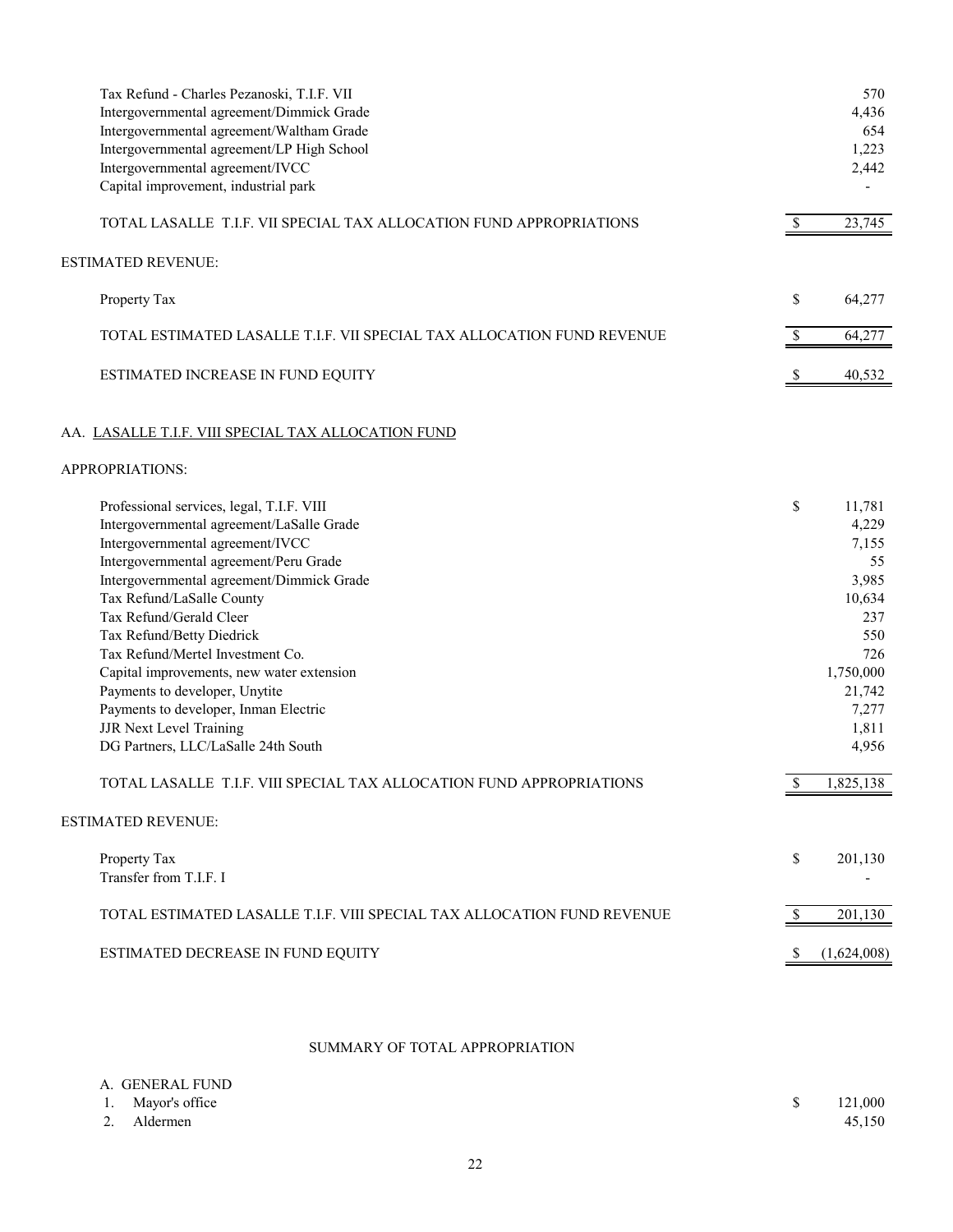| ESTIMATED DECREASE IN FUND EQUITY                                                      | -S                     | (1,624,008)    |
|----------------------------------------------------------------------------------------|------------------------|----------------|
| TOTAL ESTIMATED LASALLE T.I.F. VIII SPECIAL TAX ALLOCATION FUND REVENUE                | $\mathbb{S}$           | 201,130        |
| Property Tax<br>Transfer from T.I.F. I                                                 | \$                     | 201,130        |
| <b>ESTIMATED REVENUE:</b>                                                              |                        |                |
| TOTAL LASALLE T.I.F. VIII SPECIAL TAX ALLOCATION FUND APPROPRIATIONS                   | $\sqrt{\frac{2}{\pi}}$ | 1,825,138      |
| <b>JJR Next Level Training</b><br>DG Partners, LLC/LaSalle 24th South                  |                        | 1,811<br>4,956 |
| Payments to developer, Inman Electric                                                  |                        | 7,277          |
| Payments to developer, Unytite                                                         |                        | 21,742         |
| Capital improvements, new water extension                                              |                        | 1,750,000      |
| Tax Refund/Mertel Investment Co.                                                       |                        | 726            |
| Tax Refund/Betty Diedrick                                                              |                        | 550            |
| Tax Refund/Gerald Cleer                                                                |                        | 237            |
| Intergovernmental agreement/Dimmick Grade<br>Tax Refund/LaSalle County                 |                        | 10,634         |
| Intergovernmental agreement/Peru Grade                                                 |                        | 55<br>3,985    |
| Intergovernmental agreement/IVCC                                                       |                        | 7,155          |
| Intergovernmental agreement/LaSalle Grade                                              |                        | 4,229          |
| Professional services, legal, T.I.F. VIII                                              | \$                     | 11,781         |
| APPROPRIATIONS:                                                                        |                        |                |
| AA. LASALLE T.I.F. VIII SPECIAL TAX ALLOCATION FUND                                    |                        |                |
| ESTIMATED INCREASE IN FUND EQUITY                                                      | <sup>\$</sup>          | 40,532         |
| TOTAL ESTIMATED LASALLE T.I.F. VII SPECIAL TAX ALLOCATION FUND REVENUE                 | $\mathcal{S}$          | 64,277         |
| Property Tax                                                                           | \$                     | 64,277         |
| <b>ESTIMATED REVENUE:</b>                                                              |                        |                |
| TOTAL LASALLE T.I.F. VII SPECIAL TAX ALLOCATION FUND APPROPRIATIONS                    | $\mathbb{S}$           | 23,745         |
| Capital improvement, industrial park                                                   |                        |                |
| Intergovernmental agreement/IVCC                                                       |                        | 2,442          |
| Intergovernmental agreement/LP High School                                             |                        | 1,223          |
| Intergovernmental agreement/Dimmick Grade<br>Intergovernmental agreement/Waltham Grade |                        | 654            |
| Tax Refund - Charles Pezanoski, T.I.F. VII                                             |                        | 570<br>4,436   |

## SUMMARY OF TOTAL APPROPRIATION

| A. GENERAL FUND   |         |
|-------------------|---------|
| 1. Mayor's office | 121,000 |
| 2. Aldermen       | 45,150  |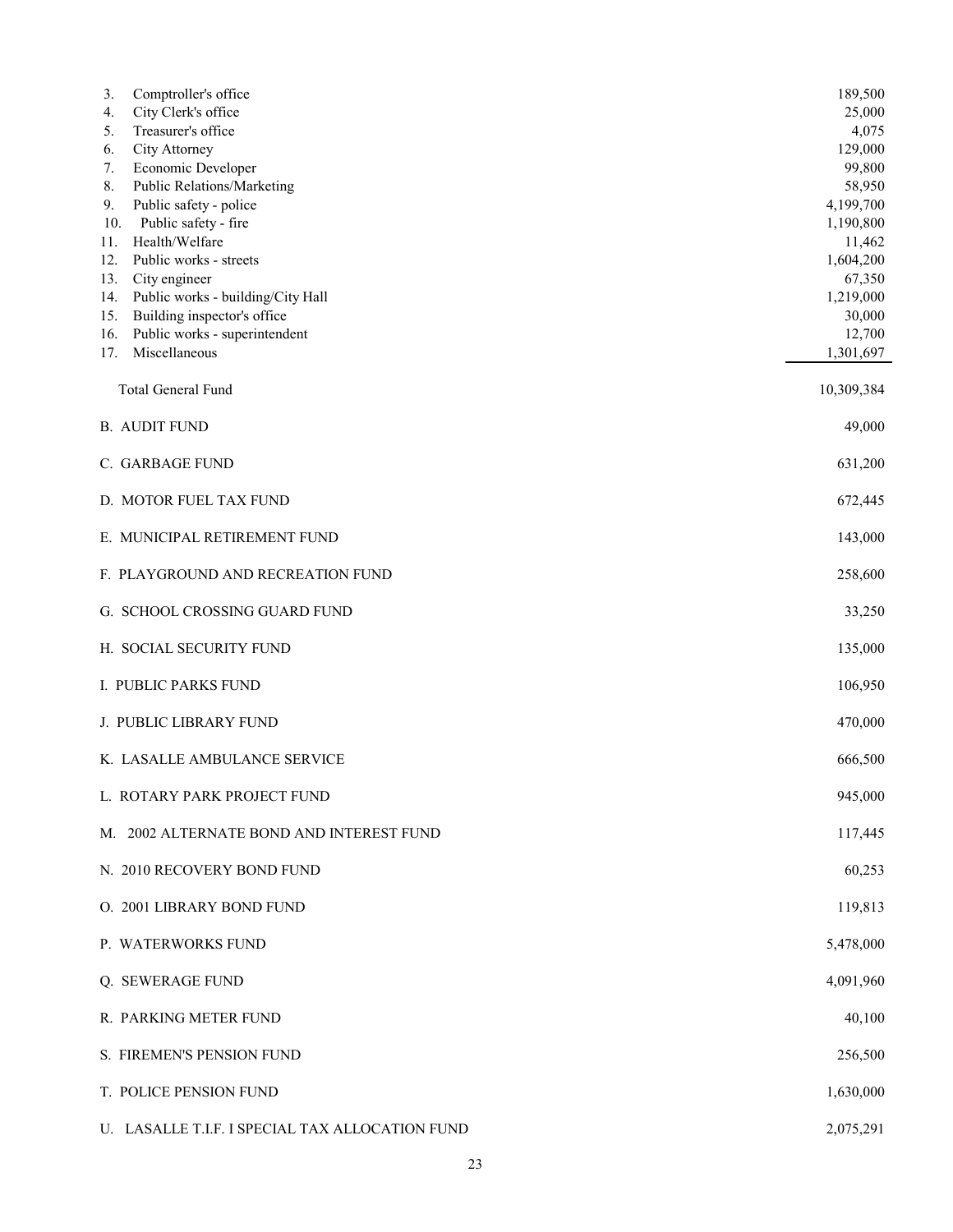| Comptroller's office<br>3.                                | 189,500             |
|-----------------------------------------------------------|---------------------|
| City Clerk's office<br>4.<br>Treasurer's office<br>5.     | 25,000<br>4,075     |
| City Attorney<br>6.                                       | 129,000             |
| Economic Developer<br>7.                                  | 99,800              |
| Public Relations/Marketing<br>8.                          | 58,950              |
| Public safety - police<br>9.                              | 4,199,700           |
| Public safety - fire<br>10.                               | 1,190,800           |
| Health/Welfare<br>11.                                     | 11,462              |
| Public works - streets<br>12.<br>13.                      | 1,604,200<br>67,350 |
| City engineer<br>Public works - building/City Hall<br>14. | 1,219,000           |
| Building inspector's office<br>15.                        | 30,000              |
| Public works - superintendent<br>16.                      | 12,700              |
| Miscellaneous<br>17.                                      | 1,301,697           |
|                                                           |                     |
| Total General Fund                                        | 10,309,384          |
| <b>B. AUDIT FUND</b>                                      | 49,000              |
| C. GARBAGE FUND                                           | 631,200             |
| D. MOTOR FUEL TAX FUND                                    | 672,445             |
| E. MUNICIPAL RETIREMENT FUND                              | 143,000             |
| F. PLAYGROUND AND RECREATION FUND                         | 258,600             |
| G. SCHOOL CROSSING GUARD FUND                             | 33,250              |
| H. SOCIAL SECURITY FUND                                   | 135,000             |
| I. PUBLIC PARKS FUND                                      | 106,950             |
| J. PUBLIC LIBRARY FUND                                    | 470,000             |
| K. LASALLE AMBULANCE SERVICE                              | 666,500             |
| L. ROTARY PARK PROJECT FUND                               | 945,000             |
| M. 2002 ALTERNATE BOND AND INTEREST FUND                  | 117,445             |
| N. 2010 RECOVERY BOND FUND                                | 60,253              |
| O. 2001 LIBRARY BOND FUND                                 | 119,813             |
| P. WATERWORKS FUND                                        | 5,478,000           |
| Q. SEWERAGE FUND                                          | 4,091,960           |
| R. PARKING METER FUND                                     | 40,100              |
| S. FIREMEN'S PENSION FUND                                 | 256,500             |
| T. POLICE PENSION FUND                                    | 1,630,000           |
| U. LASALLE T.I.F. I SPECIAL TAX ALLOCATION FUND           | 2,075,291           |